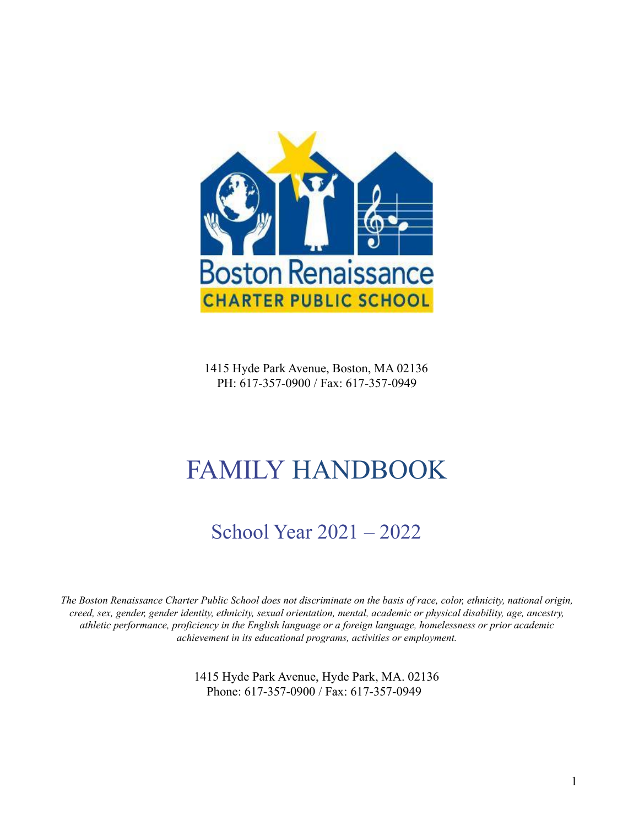

1415 Hyde Park Avenue, Boston, MA 02136 PH: 617-357-0900 / Fax: 617-357-0949

# FAMILY HANDBOOK

# School Year 2021 – 2022

The Boston Renaissance Charter Public School does not discriminate on the basis of race, color, ethnicity, national origin, creed, sex, gender, gender identity, ethnicity, sexual orientation, mental, academic or physical disability, age, ancestry, *athletic performance, proficiency in the English language or a foreign language, homelessness or prior academic achievement in its educational programs, activities or employment.*

> 1415 Hyde Park Avenue, Hyde Park, MA. 02136 Phone: 617-357-0900 / Fax: 617-357-0949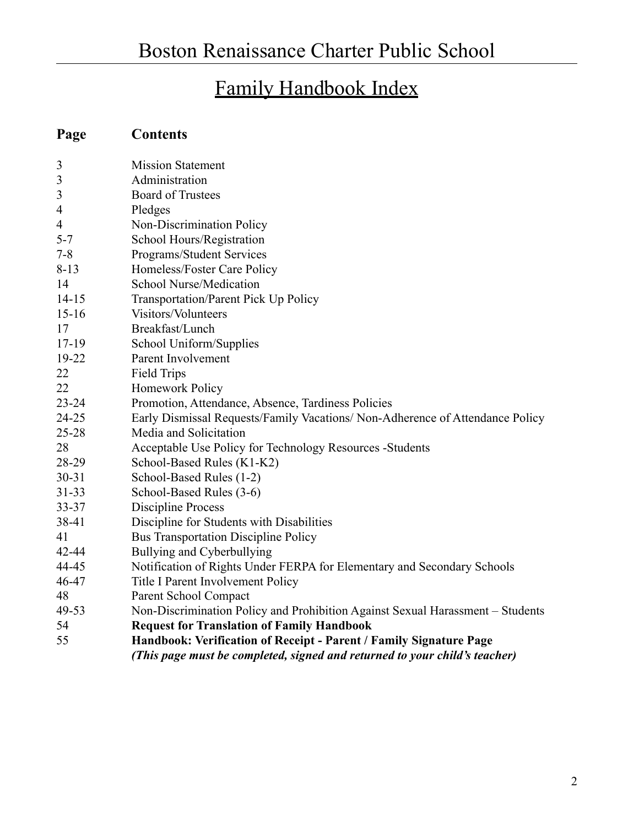# Family Handbook Index

### **Page Contents**

| $\mathfrak{Z}$ | <b>Mission Statement</b>                                                       |
|----------------|--------------------------------------------------------------------------------|
| $\mathfrak{Z}$ | Administration                                                                 |
| $\mathfrak{Z}$ | <b>Board of Trustees</b>                                                       |
| $\overline{4}$ | Pledges                                                                        |
| 4              | Non-Discrimination Policy                                                      |
| $5 - 7$        | School Hours/Registration                                                      |
| $7 - 8$        | Programs/Student Services                                                      |
| $8 - 13$       | Homeless/Foster Care Policy                                                    |
| 14             | School Nurse/Medication                                                        |
| $14 - 15$      | <b>Transportation/Parent Pick Up Policy</b>                                    |
| $15-16$        | Visitors/Volunteers                                                            |
| 17             | Breakfast/Lunch                                                                |
| $17-19$        | School Uniform/Supplies                                                        |
| 19-22          | Parent Involvement                                                             |
| 22             | <b>Field Trips</b>                                                             |
| 22             | <b>Homework Policy</b>                                                         |
| $23 - 24$      | Promotion, Attendance, Absence, Tardiness Policies                             |
| 24-25          | Early Dismissal Requests/Family Vacations/Non-Adherence of Attendance Policy   |
| 25-28          | Media and Solicitation                                                         |
| 28             | Acceptable Use Policy for Technology Resources -Students                       |
| 28-29          | School-Based Rules (K1-K2)                                                     |
| $30 - 31$      | School-Based Rules (1-2)                                                       |
| $31 - 33$      | School-Based Rules (3-6)                                                       |
| 33-37          | <b>Discipline Process</b>                                                      |
| 38-41          | Discipline for Students with Disabilities                                      |
| 41             | <b>Bus Transportation Discipline Policy</b>                                    |
| 42-44          | Bullying and Cyberbullying                                                     |
| 44-45          | Notification of Rights Under FERPA for Elementary and Secondary Schools        |
| 46-47          | Title I Parent Involvement Policy                                              |
| 48             | Parent School Compact                                                          |
| 49-53          | Non-Discrimination Policy and Prohibition Against Sexual Harassment - Students |
| 54             | <b>Request for Translation of Family Handbook</b>                              |
| 55             | Handbook: Verification of Receipt - Parent / Family Signature Page             |
|                | (This page must be completed, signed and returned to your child's teacher)     |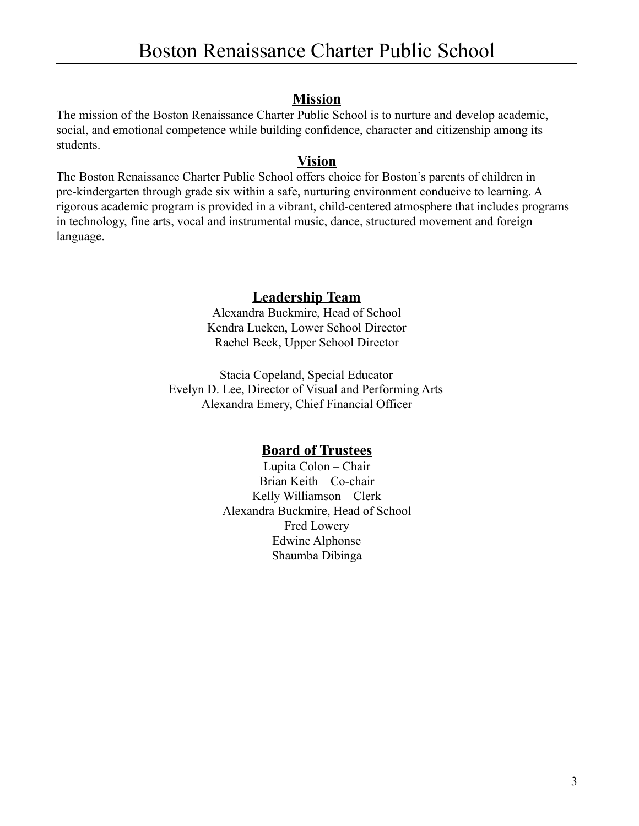#### **Mission**

The mission of the Boston Renaissance Charter Public School is to nurture and develop academic, social, and emotional competence while building confidence, character and citizenship among its students.

#### **Vision**

The Boston Renaissance Charter Public School offers choice for Boston's parents of children in pre-kindergarten through grade six within a safe, nurturing environment conducive to learning. A rigorous academic program is provided in a vibrant, child-centered atmosphere that includes programs in technology, fine arts, vocal and instrumental music, dance, structured movement and foreign language.

#### **Leadership Team**

Alexandra Buckmire, Head of School Kendra Lueken, Lower School Director Rachel Beck, Upper School Director

Stacia Copeland, Special Educator Evelyn D. Lee, Director of Visual and Performing Arts Alexandra Emery, Chief Financial Officer

#### **Board of Trustees**

Lupita Colon – Chair Brian Keith – Co-chair Kelly Williamson – Clerk Alexandra Buckmire, Head of School Fred Lowery Edwine Alphonse Shaumba Dibinga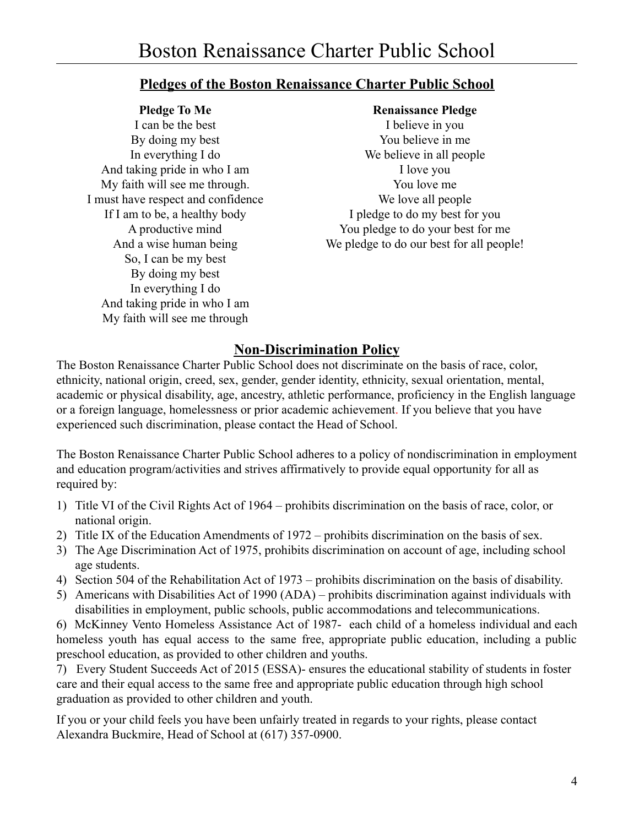#### **Pledges of the Boston Renaissance Charter Public School**

And taking pride in who I am I love you My faith will see me through. You love me I must have respect and confidence We love all people So, I can be my best By doing my best In everything I do And taking pride in who I am My faith will see me through

#### **Pledge To Me Renaissance Pledge**

I can be the best I believe in you By doing my best You believe in me In everything I do We believe in all people If I am to be, a healthy body I pledge to do my best for you A productive mind You pledge to do your best for me And a wise human being We pledge to do our best for all people!

#### **Non-Discrimination Policy**

The Boston Renaissance Charter Public School does not discriminate on the basis of race, color, ethnicity, national origin, creed, sex, gender, gender identity, ethnicity, sexual orientation, mental, academic or physical disability, age, ancestry, athletic performance, proficiency in the English language or a foreign language, homelessness or prior academic achievement. If you believe that you have experienced such discrimination, please contact the Head of School.

The Boston Renaissance Charter Public School adheres to a policy of nondiscrimination in employment and education program/activities and strives affirmatively to provide equal opportunity for all as required by:

- 1) Title VI of the Civil Rights Act of 1964 prohibits discrimination on the basis of race, color, or national origin.
- 2) Title IX of the Education Amendments of 1972 prohibits discrimination on the basis of sex.
- 3) The Age Discrimination Act of 1975, prohibits discrimination on account of age, including school age students.
- 4) Section 504 of the Rehabilitation Act of 1973 prohibits discrimination on the basis of disability.
- 5) Americans with Disabilities Act of 1990 (ADA) prohibits discrimination against individuals with disabilities in employment, public schools, public accommodations and telecommunications.

6) McKinney Vento Homeless Assistance Act of 1987- each child of a homeless individual and each homeless youth has equal access to the same free, appropriate public education, including a public preschool education, as provided to other children and youths.

7) Every Student Succeeds Act of 2015 (ESSA)- ensures the educational stability of students in foster care and their equal access to the same free and appropriate public education through high school graduation as provided to other children and youth.

If you or your child feels you have been unfairly treated in regards to your rights, please contact Alexandra Buckmire, Head of School at (617) 357-0900.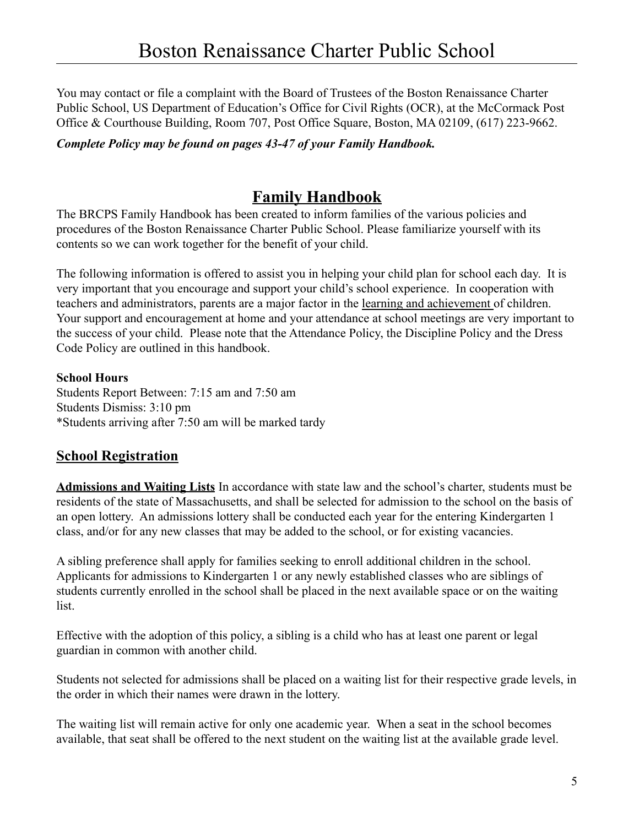You may contact or file a complaint with the Board of Trustees of the Boston Renaissance Charter Public School, US Department of Education's Office for Civil Rights (OCR), at the McCormack Post Office & Courthouse Building, Room 707, Post Office Square, Boston, MA 02109, (617) 223-9662.

*Complete Policy may be found on pages 43-47 of your Family Handbook.*

### **Family Handbook**

The BRCPS Family Handbook has been created to inform families of the various policies and procedures of the Boston Renaissance Charter Public School. Please familiarize yourself with its contents so we can work together for the benefit of your child.

The following information is offered to assist you in helping your child plan for school each day. It is very important that you encourage and support your child's school experience. In cooperation with teachers and administrators, parents are a major factor in the learning and achievement of children. Your support and encouragement at home and your attendance at school meetings are very important to the success of your child. Please note that the Attendance Policy, the Discipline Policy and the Dress Code Policy are outlined in this handbook.

#### **School Hours**

Students Report Between: 7:15 am and 7:50 am Students Dismiss: 3:10 pm \*Students arriving after 7:50 am will be marked tardy

#### **School Registration**

**Admissions and Waiting Lists** In accordance with state law and the school's charter, students must be residents of the state of Massachusetts, and shall be selected for admission to the school on the basis of an open lottery. An admissions lottery shall be conducted each year for the entering Kindergarten 1 class, and/or for any new classes that may be added to the school, or for existing vacancies.

A sibling preference shall apply for families seeking to enroll additional children in the school. Applicants for admissions to Kindergarten 1 or any newly established classes who are siblings of students currently enrolled in the school shall be placed in the next available space or on the waiting list.

Effective with the adoption of this policy, a sibling is a child who has at least one parent or legal guardian in common with another child.

Students not selected for admissions shall be placed on a waiting list for their respective grade levels, in the order in which their names were drawn in the lottery.

The waiting list will remain active for only one academic year. When a seat in the school becomes available, that seat shall be offered to the next student on the waiting list at the available grade level.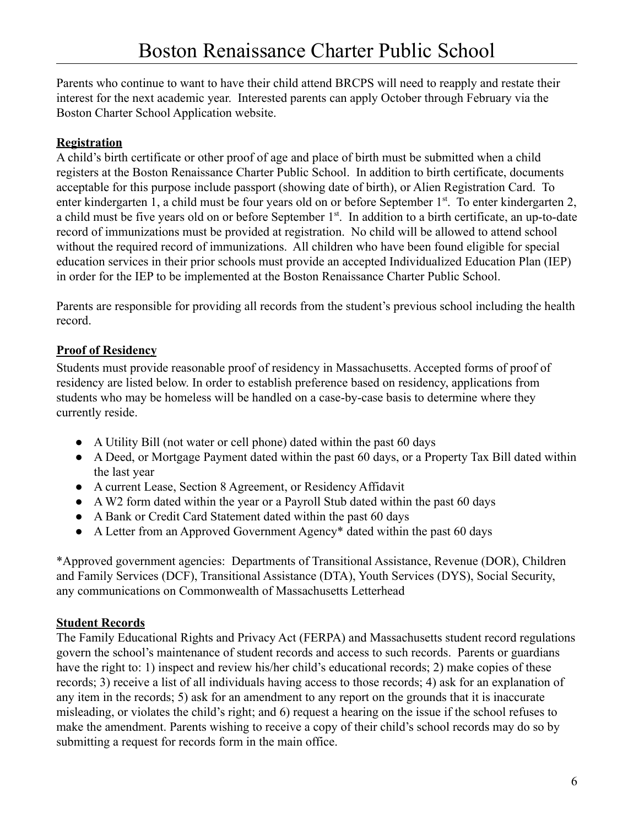Parents who continue to want to have their child attend BRCPS will need to reapply and restate their interest for the next academic year. Interested parents can apply October through February via the Boston Charter School Application website.

#### **Registration**

A child's birth certificate or other proof of age and place of birth must be submitted when a child registers at the Boston Renaissance Charter Public School. In addition to birth certificate, documents acceptable for this purpose include passport (showing date of birth), or Alien Registration Card. To enter kindergarten 1, a child must be four years old on or before September 1<sup>st</sup>. To enter kindergarten 2, a child must be five years old on or before September 1<sup>st</sup>. In addition to a birth certificate, an up-to-date record of immunizations must be provided at registration. No child will be allowed to attend school without the required record of immunizations. All children who have been found eligible for special education services in their prior schools must provide an accepted Individualized Education Plan (IEP) in order for the IEP to be implemented at the Boston Renaissance Charter Public School.

Parents are responsible for providing all records from the student's previous school including the health record.

#### **Proof of Residency**

Students must provide reasonable proof of residency in Massachusetts. Accepted forms of proof of residency are listed below. In order to establish preference based on residency, applications from students who may be homeless will be handled on a case-by-case basis to determine where they currently reside.

- A Utility Bill (not water or cell phone) dated within the past 60 days
- A Deed, or Mortgage Payment dated within the past 60 days, or a Property Tax Bill dated within the last year
- A current Lease, Section 8 Agreement, or Residency Affidavit
- A W2 form dated within the year or a Payroll Stub dated within the past 60 days
- A Bank or Credit Card Statement dated within the past 60 days
- A Letter from an Approved Government Agency\* dated within the past 60 days

\*Approved government agencies: Departments of Transitional Assistance, Revenue (DOR), Children and Family Services (DCF), Transitional Assistance (DTA), Youth Services (DYS), Social Security, any communications on Commonwealth of Massachusetts Letterhead

#### **Student Records**

The Family Educational Rights and Privacy Act (FERPA) and Massachusetts student record regulations govern the school's maintenance of student records and access to such records. Parents or guardians have the right to: 1) inspect and review his/her child's educational records; 2) make copies of these records; 3) receive a list of all individuals having access to those records; 4) ask for an explanation of any item in the records; 5) ask for an amendment to any report on the grounds that it is inaccurate misleading, or violates the child's right; and 6) request a hearing on the issue if the school refuses to make the amendment. Parents wishing to receive a copy of their child's school records may do so by submitting a request for records form in the main office.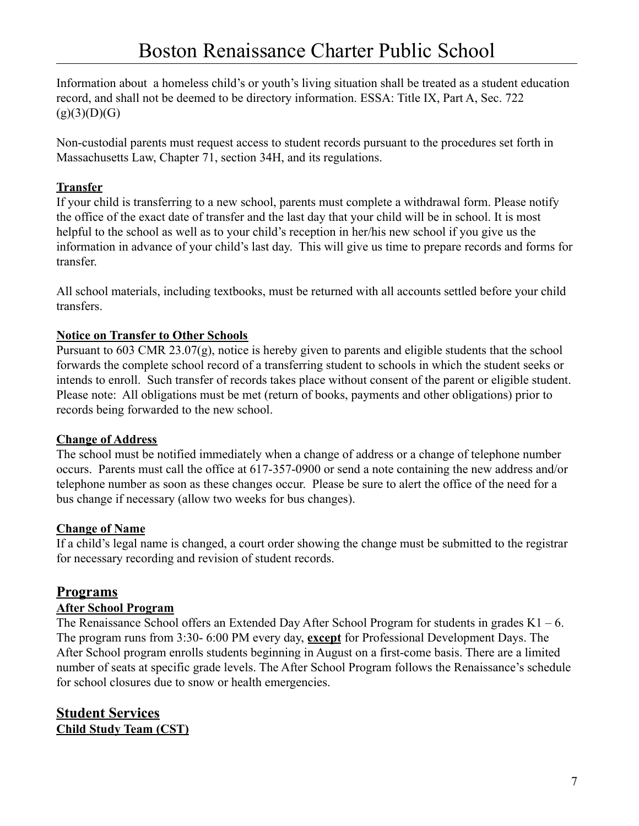Information about a homeless child's or youth's living situation shall be treated as a student education record, and shall not be deemed to be directory information. ESSA: Title IX, Part A, Sec. 722  $(g)(3)(D)(G)$ 

Non-custodial parents must request access to student records pursuant to the procedures set forth in Massachusetts Law, Chapter 71, section 34H, and its regulations.

#### **Transfer**

If your child is transferring to a new school, parents must complete a withdrawal form. Please notify the office of the exact date of transfer and the last day that your child will be in school. It is most helpful to the school as well as to your child's reception in her/his new school if you give us the information in advance of your child's last day. This will give us time to prepare records and forms for transfer.

All school materials, including textbooks, must be returned with all accounts settled before your child transfers.

#### **Notice on Transfer to Other Schools**

Pursuant to 603 CMR 23.07(g), notice is hereby given to parents and eligible students that the school forwards the complete school record of a transferring student to schools in which the student seeks or intends to enroll. Such transfer of records takes place without consent of the parent or eligible student. Please note: All obligations must be met (return of books, payments and other obligations) prior to records being forwarded to the new school.

#### **Change of Address**

The school must be notified immediately when a change of address or a change of telephone number occurs. Parents must call the office at 617-357-0900 or send a note containing the new address and/or telephone number as soon as these changes occur. Please be sure to alert the office of the need for a bus change if necessary (allow two weeks for bus changes).

#### **Change of Name**

If a child's legal name is changed, a court order showing the change must be submitted to the registrar for necessary recording and revision of student records.

#### **Programs**

#### **After School Program**

The Renaissance School offers an Extended Day After School Program for students in grades  $K1 - 6$ . The program runs from 3:30- 6:00 PM every day, **except** for Professional Development Days. The After School program enrolls students beginning in August on a first-come basis. There are a limited number of seats at specific grade levels. The After School Program follows the Renaissance's schedule for school closures due to snow or health emergencies.

**Student Services Child Study Team (CST)**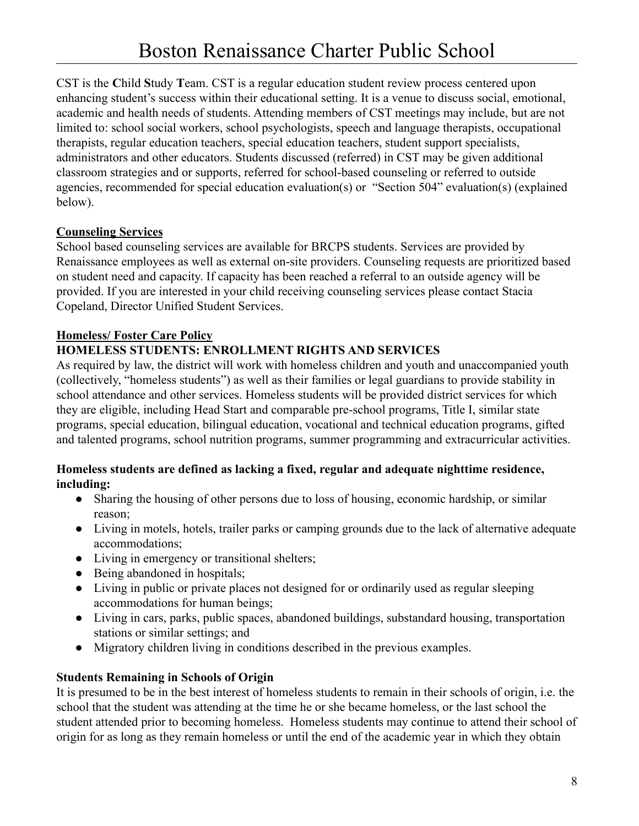CST is the **C**hild **S**tudy **T**eam. CST is a regular education student review process centered upon enhancing student's success within their educational setting. It is a venue to discuss social, emotional, academic and health needs of students. Attending members of CST meetings may include, but are not limited to: school social workers, school psychologists, speech and language therapists, occupational therapists, regular education teachers, special education teachers, student support specialists, administrators and other educators. Students discussed (referred) in CST may be given additional classroom strategies and or supports, referred for school-based counseling or referred to outside agencies, recommended for special education evaluation(s) or "Section 504" evaluation(s) (explained below).

#### **Counseling Services**

School based counseling services are available for BRCPS students. Services are provided by Renaissance employees as well as external on-site providers. Counseling requests are prioritized based on student need and capacity. If capacity has been reached a referral to an outside agency will be provided. If you are interested in your child receiving counseling services please contact Stacia Copeland, Director Unified Student Services.

#### **Homeless/ Foster Care Policy**

#### **HOMELESS STUDENTS: ENROLLMENT RIGHTS AND SERVICES**

As required by law, the district will work with homeless children and youth and unaccompanied youth (collectively, "homeless students") as well as their families or legal guardians to provide stability in school attendance and other services. Homeless students will be provided district services for which they are eligible, including Head Start and comparable pre-school programs, Title I, similar state programs, special education, bilingual education, vocational and technical education programs, gifted and talented programs, school nutrition programs, summer programming and extracurricular activities.

#### **Homeless students are defined as lacking a fixed, regular and adequate nighttime residence, including:**

- Sharing the housing of other persons due to loss of housing, economic hardship, or similar reason;
- Living in motels, hotels, trailer parks or camping grounds due to the lack of alternative adequate accommodations;
- Living in emergency or transitional shelters;
- Being abandoned in hospitals;
- Living in public or private places not designed for or ordinarily used as regular sleeping accommodations for human beings;
- Living in cars, parks, public spaces, abandoned buildings, substandard housing, transportation stations or similar settings; and
- Migratory children living in conditions described in the previous examples.

#### **Students Remaining in Schools of Origin**

It is presumed to be in the best interest of homeless students to remain in their schools of origin, i.e. the school that the student was attending at the time he or she became homeless, or the last school the student attended prior to becoming homeless. Homeless students may continue to attend their school of origin for as long as they remain homeless or until the end of the academic year in which they obtain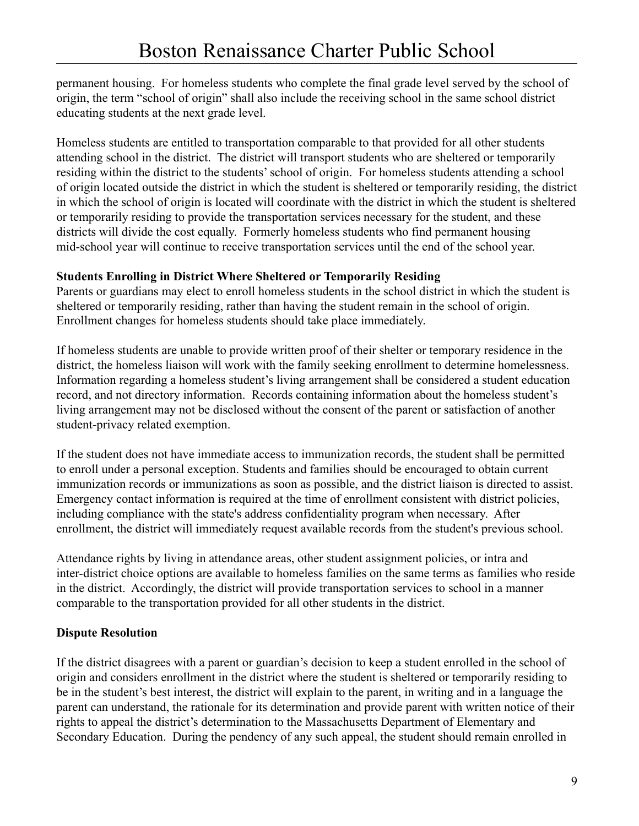permanent housing. For homeless students who complete the final grade level served by the school of origin, the term "school of origin" shall also include the receiving school in the same school district educating students at the next grade level.

Homeless students are entitled to transportation comparable to that provided for all other students attending school in the district. The district will transport students who are sheltered or temporarily residing within the district to the students' school of origin. For homeless students attending a school of origin located outside the district in which the student is sheltered or temporarily residing, the district in which the school of origin is located will coordinate with the district in which the student is sheltered or temporarily residing to provide the transportation services necessary for the student, and these districts will divide the cost equally. Formerly homeless students who find permanent housing mid-school year will continue to receive transportation services until the end of the school year.

#### **Students Enrolling in District Where Sheltered or Temporarily Residing**

Parents or guardians may elect to enroll homeless students in the school district in which the student is sheltered or temporarily residing, rather than having the student remain in the school of origin. Enrollment changes for homeless students should take place immediately.

If homeless students are unable to provide written proof of their shelter or temporary residence in the district, the homeless liaison will work with the family seeking enrollment to determine homelessness. Information regarding a homeless student's living arrangement shall be considered a student education record, and not directory information. Records containing information about the homeless student's living arrangement may not be disclosed without the consent of the parent or satisfaction of another student-privacy related exemption.

If the student does not have immediate access to immunization records, the student shall be permitted to enroll under a personal exception. Students and families should be encouraged to obtain current immunization records or immunizations as soon as possible, and the district liaison is directed to assist. Emergency contact information is required at the time of enrollment consistent with district policies, including compliance with the state's address confidentiality program when necessary. After enrollment, the district will immediately request available records from the student's previous school.

Attendance rights by living in attendance areas, other student assignment policies, or intra and inter-district choice options are available to homeless families on the same terms as families who reside in the district. Accordingly, the district will provide transportation services to school in a manner comparable to the transportation provided for all other students in the district.

#### **Dispute Resolution**

If the district disagrees with a parent or guardian's decision to keep a student enrolled in the school of origin and considers enrollment in the district where the student is sheltered or temporarily residing to be in the student's best interest, the district will explain to the parent, in writing and in a language the parent can understand, the rationale for its determination and provide parent with written notice of their rights to appeal the district's determination to the Massachusetts Department of Elementary and Secondary Education. During the pendency of any such appeal, the student should remain enrolled in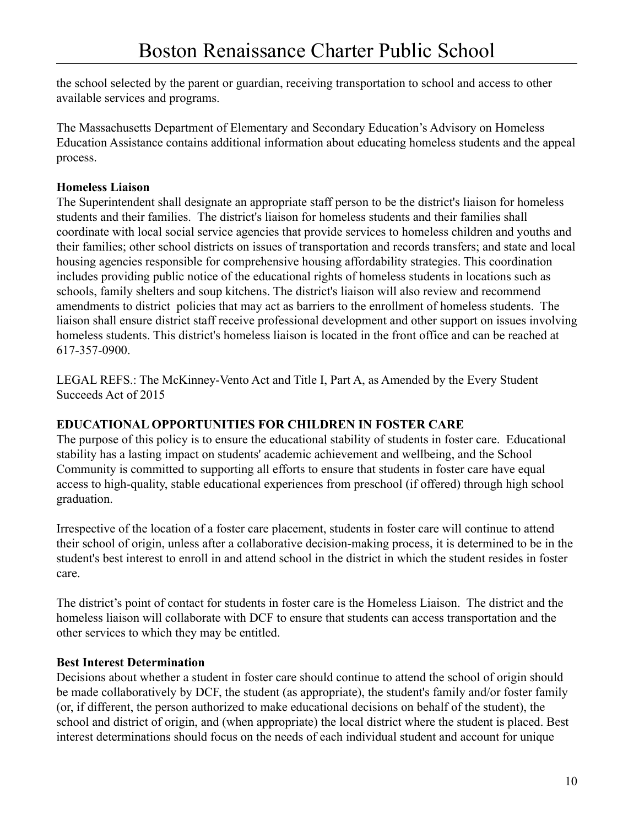the school selected by the parent or guardian, receiving transportation to school and access to other available services and programs.

The Massachusetts Department of Elementary and Secondary Education's Advisory on Homeless Education Assistance contains additional information about educating homeless students and the appeal process.

#### **Homeless Liaison**

The Superintendent shall designate an appropriate staff person to be the district's liaison for homeless students and their families. The district's liaison for homeless students and their families shall coordinate with local social service agencies that provide services to homeless children and youths and their families; other school districts on issues of transportation and records transfers; and state and local housing agencies responsible for comprehensive housing affordability strategies. This coordination includes providing public notice of the educational rights of homeless students in locations such as schools, family shelters and soup kitchens. The district's liaison will also review and recommend amendments to district policies that may act as barriers to the enrollment of homeless students. The liaison shall ensure district staff receive professional development and other support on issues involving homeless students. This district's homeless liaison is located in the front office and can be reached at 617-357-0900.

LEGAL REFS.: The McKinney-Vento Act and Title I, Part A, as Amended by the Every Student Succeeds Act of 2015

#### **EDUCATIONAL OPPORTUNITIES FOR CHILDREN IN FOSTER CARE**

The purpose of this policy is to ensure the educational stability of students in foster care. Educational stability has a lasting impact on students' academic achievement and wellbeing, and the School Community is committed to supporting all efforts to ensure that students in foster care have equal access to high-quality, stable educational experiences from preschool (if offered) through high school graduation.

Irrespective of the location of a foster care placement, students in foster care will continue to attend their school of origin, unless after a collaborative decision-making process, it is determined to be in the student's best interest to enroll in and attend school in the district in which the student resides in foster care.

The district's point of contact for students in foster care is the Homeless Liaison. The district and the homeless liaison will collaborate with DCF to ensure that students can access transportation and the other services to which they may be entitled.

#### **Best Interest Determination**

Decisions about whether a student in foster care should continue to attend the school of origin should be made collaboratively by DCF, the student (as appropriate), the student's family and/or foster family (or, if different, the person authorized to make educational decisions on behalf of the student), the school and district of origin, and (when appropriate) the local district where the student is placed. Best interest determinations should focus on the needs of each individual student and account for unique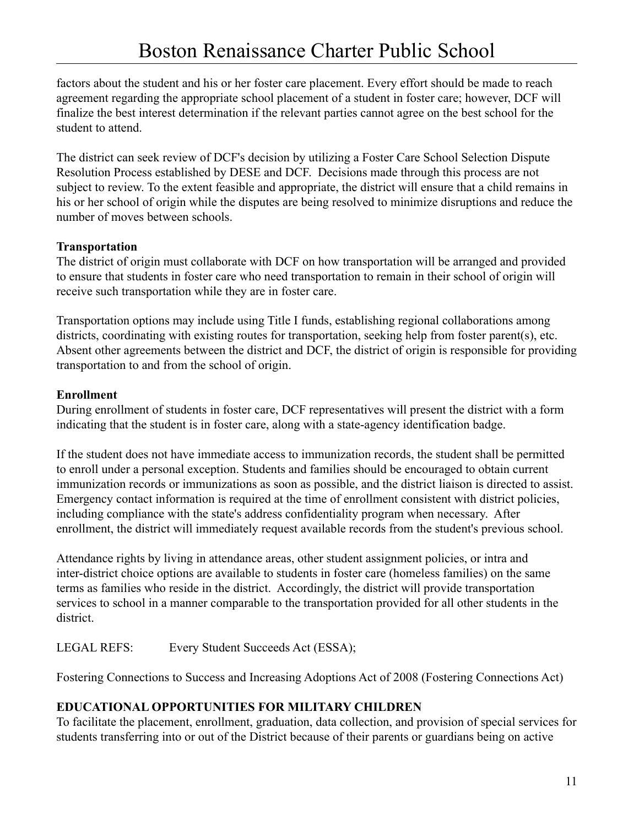factors about the student and his or her foster care placement. Every effort should be made to reach agreement regarding the appropriate school placement of a student in foster care; however, DCF will finalize the best interest determination if the relevant parties cannot agree on the best school for the student to attend.

The district can seek review of DCF's decision by utilizing a Foster Care School Selection Dispute Resolution Process established by DESE and DCF. Decisions made through this process are not subject to review. To the extent feasible and appropriate, the district will ensure that a child remains in his or her school of origin while the disputes are being resolved to minimize disruptions and reduce the number of moves between schools.

#### **Transportation**

The district of origin must collaborate with DCF on how transportation will be arranged and provided to ensure that students in foster care who need transportation to remain in their school of origin will receive such transportation while they are in foster care.

Transportation options may include using Title I funds, establishing regional collaborations among districts, coordinating with existing routes for transportation, seeking help from foster parent(s), etc. Absent other agreements between the district and DCF, the district of origin is responsible for providing transportation to and from the school of origin.

#### **Enrollment**

During enrollment of students in foster care, DCF representatives will present the district with a form indicating that the student is in foster care, along with a state-agency identification badge.

If the student does not have immediate access to immunization records, the student shall be permitted to enroll under a personal exception. Students and families should be encouraged to obtain current immunization records or immunizations as soon as possible, and the district liaison is directed to assist. Emergency contact information is required at the time of enrollment consistent with district policies, including compliance with the state's address confidentiality program when necessary. After enrollment, the district will immediately request available records from the student's previous school.

Attendance rights by living in attendance areas, other student assignment policies, or intra and inter-district choice options are available to students in foster care (homeless families) on the same terms as families who reside in the district. Accordingly, the district will provide transportation services to school in a manner comparable to the transportation provided for all other students in the district.

LEGAL REFS: Every Student Succeeds Act (ESSA);

Fostering Connections to Success and Increasing Adoptions Act of 2008 (Fostering Connections Act)

#### **EDUCATIONAL OPPORTUNITIES FOR MILITARY CHILDREN**

To facilitate the placement, enrollment, graduation, data collection, and provision of special services for students transferring into or out of the District because of their parents or guardians being on active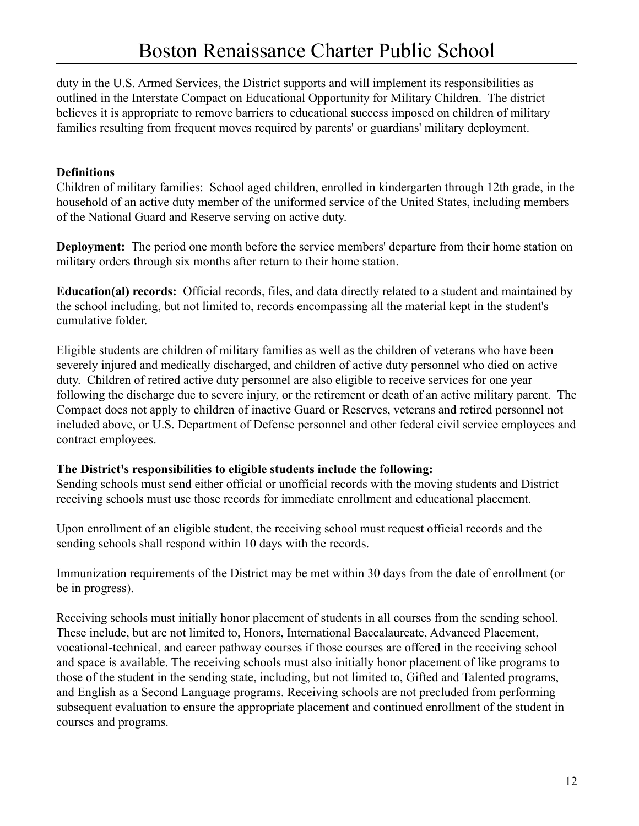duty in the U.S. Armed Services, the District supports and will implement its responsibilities as outlined in the Interstate Compact on Educational Opportunity for Military Children. The district believes it is appropriate to remove barriers to educational success imposed on children of military families resulting from frequent moves required by parents' or guardians' military deployment.

#### **Definitions**

Children of military families: School aged children, enrolled in kindergarten through 12th grade, in the household of an active duty member of the uniformed service of the United States, including members of the National Guard and Reserve serving on active duty.

**Deployment:** The period one month before the service members' departure from their home station on military orders through six months after return to their home station.

**Education(al) records:** Official records, files, and data directly related to a student and maintained by the school including, but not limited to, records encompassing all the material kept in the student's cumulative folder.

Eligible students are children of military families as well as the children of veterans who have been severely injured and medically discharged, and children of active duty personnel who died on active duty. Children of retired active duty personnel are also eligible to receive services for one year following the discharge due to severe injury, or the retirement or death of an active military parent. The Compact does not apply to children of inactive Guard or Reserves, veterans and retired personnel not included above, or U.S. Department of Defense personnel and other federal civil service employees and contract employees.

#### **The District's responsibilities to eligible students include the following:**

Sending schools must send either official or unofficial records with the moving students and District receiving schools must use those records for immediate enrollment and educational placement.

Upon enrollment of an eligible student, the receiving school must request official records and the sending schools shall respond within 10 days with the records.

Immunization requirements of the District may be met within 30 days from the date of enrollment (or be in progress).

Receiving schools must initially honor placement of students in all courses from the sending school. These include, but are not limited to, Honors, International Baccalaureate, Advanced Placement, vocational-technical, and career pathway courses if those courses are offered in the receiving school and space is available. The receiving schools must also initially honor placement of like programs to those of the student in the sending state, including, but not limited to, Gifted and Talented programs, and English as a Second Language programs. Receiving schools are not precluded from performing subsequent evaluation to ensure the appropriate placement and continued enrollment of the student in courses and programs.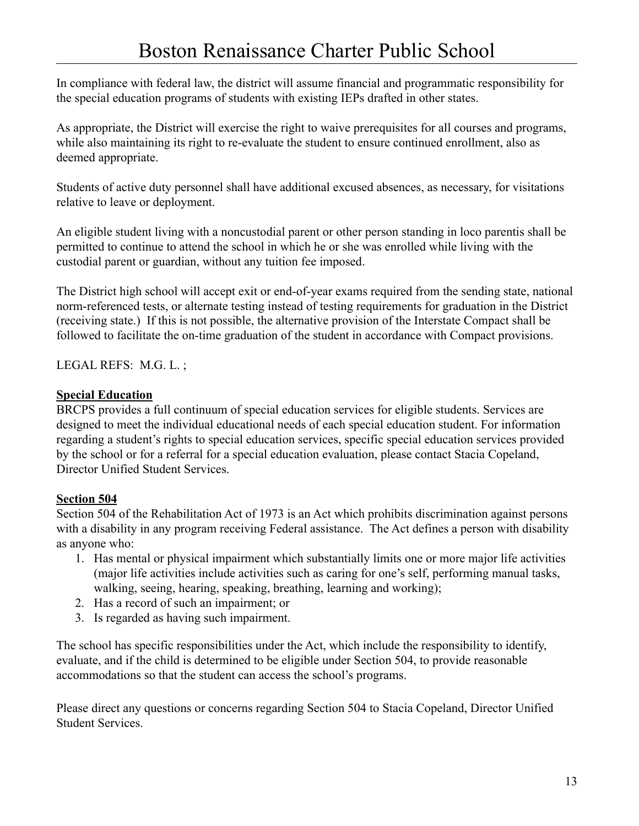In compliance with federal law, the district will assume financial and programmatic responsibility for the special education programs of students with existing IEPs drafted in other states.

As appropriate, the District will exercise the right to waive prerequisites for all courses and programs, while also maintaining its right to re-evaluate the student to ensure continued enrollment, also as deemed appropriate.

Students of active duty personnel shall have additional excused absences, as necessary, for visitations relative to leave or deployment.

An eligible student living with a noncustodial parent or other person standing in loco parentis shall be permitted to continue to attend the school in which he or she was enrolled while living with the custodial parent or guardian, without any tuition fee imposed.

The District high school will accept exit or end-of-year exams required from the sending state, national norm-referenced tests, or alternate testing instead of testing requirements for graduation in the District (receiving state.) If this is not possible, the alternative provision of the Interstate Compact shall be followed to facilitate the on-time graduation of the student in accordance with Compact provisions.

LEGAL REFS: M.G. L. ;

#### **Special Education**

BRCPS provides a full continuum of special education services for eligible students. Services are designed to meet the individual educational needs of each special education student. For information regarding a student's rights to special education services, specific special education services provided by the school or for a referral for a special education evaluation, please contact Stacia Copeland, Director Unified Student Services.

#### **Section 504**

Section 504 of the Rehabilitation Act of 1973 is an Act which prohibits discrimination against persons with a disability in any program receiving Federal assistance. The Act defines a person with disability as anyone who:

- 1. Has mental or physical impairment which substantially limits one or more major life activities (major life activities include activities such as caring for one's self, performing manual tasks, walking, seeing, hearing, speaking, breathing, learning and working);
- 2. Has a record of such an impairment; or
- 3. Is regarded as having such impairment.

The school has specific responsibilities under the Act, which include the responsibility to identify, evaluate, and if the child is determined to be eligible under Section 504, to provide reasonable accommodations so that the student can access the school's programs.

Please direct any questions or concerns regarding Section 504 to Stacia Copeland, Director Unified Student Services.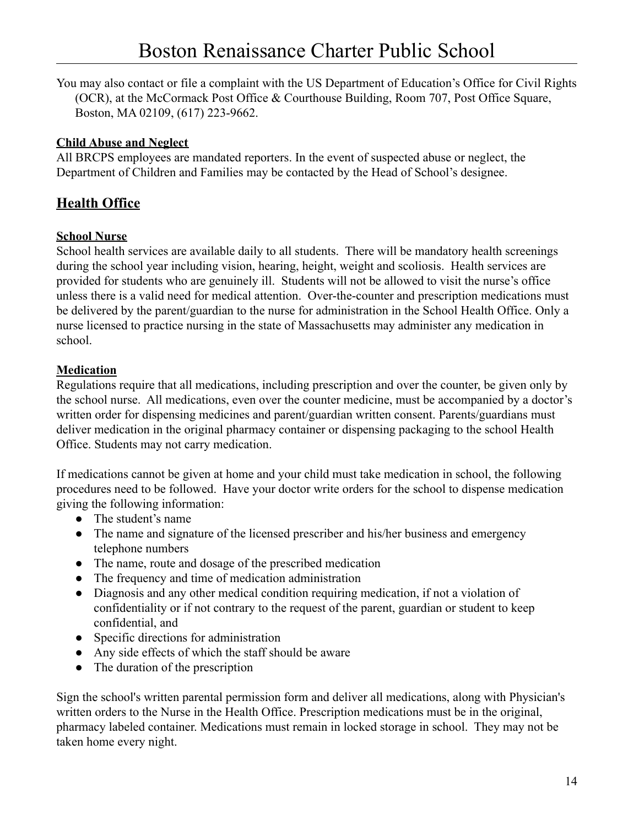You may also contact or file a complaint with the US Department of Education's Office for Civil Rights (OCR), at the McCormack Post Office & Courthouse Building, Room 707, Post Office Square, Boston, MA 02109, (617) 223-9662.

#### **Child Abuse and Neglect**

All BRCPS employees are mandated reporters. In the event of suspected abuse or neglect, the Department of Children and Families may be contacted by the Head of School's designee.

### **Health Office**

#### **School Nurse**

School health services are available daily to all students. There will be mandatory health screenings during the school year including vision, hearing, height, weight and scoliosis. Health services are provided for students who are genuinely ill. Students will not be allowed to visit the nurse's office unless there is a valid need for medical attention. Over-the-counter and prescription medications must be delivered by the parent/guardian to the nurse for administration in the School Health Office. Only a nurse licensed to practice nursing in the state of Massachusetts may administer any medication in school.

#### **Medication**

Regulations require that all medications, including prescription and over the counter, be given only by the school nurse. All medications, even over the counter medicine, must be accompanied by a doctor's written order for dispensing medicines and parent/guardian written consent. Parents/guardians must deliver medication in the original pharmacy container or dispensing packaging to the school Health Office. Students may not carry medication.

If medications cannot be given at home and your child must take medication in school, the following procedures need to be followed. Have your doctor write orders for the school to dispense medication giving the following information:

- The student's name
- The name and signature of the licensed prescriber and his/her business and emergency telephone numbers
- The name, route and dosage of the prescribed medication
- The frequency and time of medication administration
- Diagnosis and any other medical condition requiring medication, if not a violation of confidentiality or if not contrary to the request of the parent, guardian or student to keep confidential, and
- Specific directions for administration
- Any side effects of which the staff should be aware
- The duration of the prescription

Sign the school's written parental permission form and deliver all medications, along with Physician's written orders to the Nurse in the Health Office. Prescription medications must be in the original, pharmacy labeled container. Medications must remain in locked storage in school. They may not be taken home every night.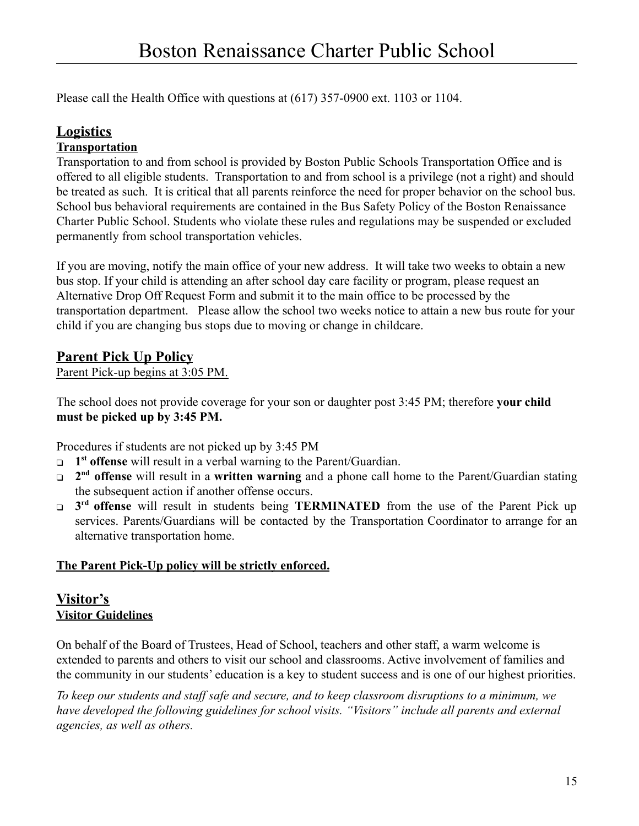Please call the Health Office with questions at (617) 357-0900 ext. 1103 or 1104.

### **Logistics**

#### **Transportation**

Transportation to and from school is provided by Boston Public Schools Transportation Office and is offered to all eligible students. Transportation to and from school is a privilege (not a right) and should be treated as such. It is critical that all parents reinforce the need for proper behavior on the school bus. School bus behavioral requirements are contained in the Bus Safety Policy of the Boston Renaissance Charter Public School. Students who violate these rules and regulations may be suspended or excluded permanently from school transportation vehicles.

If you are moving, notify the main office of your new address. It will take two weeks to obtain a new bus stop. If your child is attending an after school day care facility or program, please request an Alternative Drop Off Request Form and submit it to the main office to be processed by the transportation department. Please allow the school two weeks notice to attain a new bus route for your child if you are changing bus stops due to moving or change in childcare.

### **Parent Pick Up Policy**

Parent Pick-up begins at 3:05 PM.

The school does not provide coverage for your son or daughter post 3:45 PM; therefore **your child must be picked up by 3:45 PM.**

Procedures if students are not picked up by 3:45 PM

- ❑ **1 st offense** will result in a verbal warning to the Parent/Guardian.
- ❑ **2 nd offense** will result in a **written warning** and a phone call home to the Parent/Guardian stating the subsequent action if another offense occurs.
- ❑ **3 rd offense** will result in students being **TERMINATED** from the use of the Parent Pick up services. Parents/Guardians will be contacted by the Transportation Coordinator to arrange for an alternative transportation home.

#### **The Parent Pick-Up policy will be strictly enforced.**

#### **Visitor's Visitor Guidelines**

On behalf of the Board of Trustees, Head of School, teachers and other staff, a warm welcome is extended to parents and others to visit our school and classrooms. Active involvement of families and the community in our students' education is a key to student success and is one of our highest priorities.

*To keep our students and staff safe and secure, and to keep classroom disruptions to a minimum, we have developed the following guidelines for school visits. "Visitors" include all parents and external agencies, as well as others.*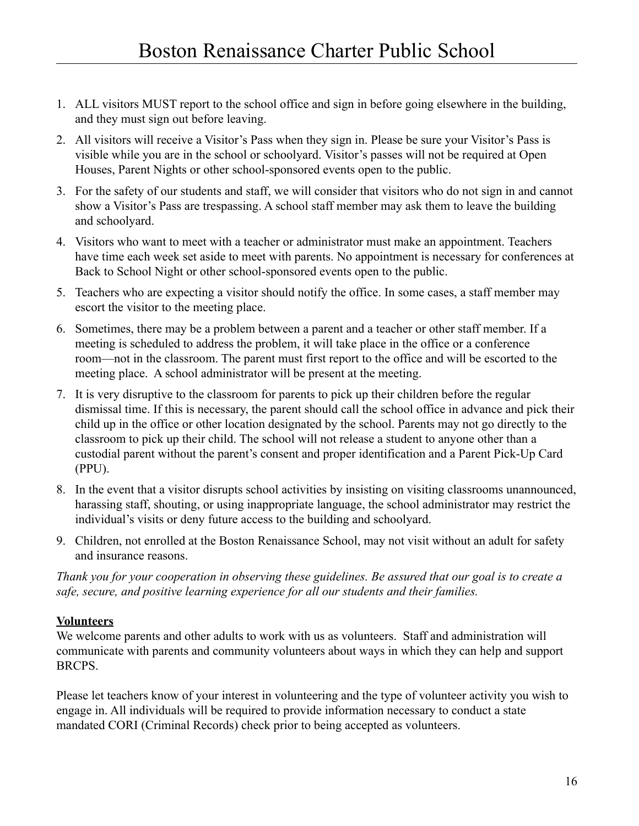- 1. ALL visitors MUST report to the school office and sign in before going elsewhere in the building, and they must sign out before leaving.
- 2. All visitors will receive a Visitor's Pass when they sign in. Please be sure your Visitor's Pass is visible while you are in the school or schoolyard. Visitor's passes will not be required at Open Houses, Parent Nights or other school-sponsored events open to the public.
- 3. For the safety of our students and staff, we will consider that visitors who do not sign in and cannot show a Visitor's Pass are trespassing. A school staff member may ask them to leave the building and schoolyard.
- 4. Visitors who want to meet with a teacher or administrator must make an appointment. Teachers have time each week set aside to meet with parents. No appointment is necessary for conferences at Back to School Night or other school-sponsored events open to the public.
- 5. Teachers who are expecting a visitor should notify the office. In some cases, a staff member may escort the visitor to the meeting place.
- 6. Sometimes, there may be a problem between a parent and a teacher or other staff member. If a meeting is scheduled to address the problem, it will take place in the office or a conference room—not in the classroom. The parent must first report to the office and will be escorted to the meeting place. A school administrator will be present at the meeting.
- 7. It is very disruptive to the classroom for parents to pick up their children before the regular dismissal time. If this is necessary, the parent should call the school office in advance and pick their child up in the office or other location designated by the school. Parents may not go directly to the classroom to pick up their child. The school will not release a student to anyone other than a custodial parent without the parent's consent and proper identification and a Parent Pick-Up Card (PPU).
- 8. In the event that a visitor disrupts school activities by insisting on visiting classrooms unannounced, harassing staff, shouting, or using inappropriate language, the school administrator may restrict the individual's visits or deny future access to the building and schoolyard.
- 9. Children, not enrolled at the Boston Renaissance School, may not visit without an adult for safety and insurance reasons.

*Thank you for your cooperation in observing these guidelines. Be assured that our goal is to create a safe, secure, and positive learning experience for all our students and their families.*

#### **Volunteers**

We welcome parents and other adults to work with us as volunteers. Staff and administration will communicate with parents and community volunteers about ways in which they can help and support BRCPS.

Please let teachers know of your interest in volunteering and the type of volunteer activity you wish to engage in. All individuals will be required to provide information necessary to conduct a state mandated CORI (Criminal Records) check prior to being accepted as volunteers.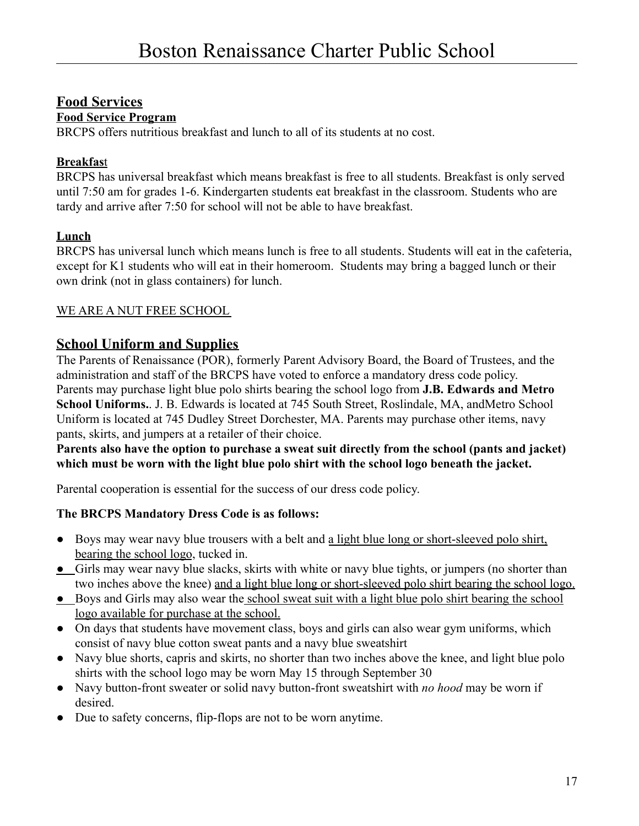#### **Food Services**

#### **Food Service Program**

BRCPS offers nutritious breakfast and lunch to all of its students at no cost.

#### **Breakfas**t

BRCPS has universal breakfast which means breakfast is free to all students. Breakfast is only served until 7:50 am for grades 1-6. Kindergarten students eat breakfast in the classroom. Students who are tardy and arrive after 7:50 for school will not be able to have breakfast.

#### **Lunch**

BRCPS has universal lunch which means lunch is free to all students. Students will eat in the cafeteria, except for K1 students who will eat in their homeroom. Students may bring a bagged lunch or their own drink (not in glass containers) for lunch.

#### WE ARE A NUT FREE SCHOOL

#### **School Uniform and Supplies**

The Parents of Renaissance (POR), formerly Parent Advisory Board, the Board of Trustees, and the administration and staff of the BRCPS have voted to enforce a mandatory dress code policy. Parents may purchase light blue polo shirts bearing the school logo from **J.B. Edwards and Metro School Uniforms.**. J. B. Edwards is located at 745 South Street, Roslindale, MA, andMetro School Uniform is located at 745 Dudley Street Dorchester, MA. Parents may purchase other items, navy pants, skirts, and jumpers at a retailer of their choice.

**Parents also have the option to purchase a sweat suit directly from the school (pants and jacket) which must be worn with the light blue polo shirt with the school logo beneath the jacket.**

Parental cooperation is essential for the success of our dress code policy.

#### **The BRCPS Mandatory Dress Code is as follows:**

- Boys may wear navy blue trousers with a belt and a light blue long or short-sleeved polo shirt, bearing the school logo, tucked in.
- Girls may wear navy blue slacks, skirts with white or navy blue tights, or jumpers (no shorter than two inches above the knee) and a light blue long or short-sleeved polo shirt bearing the school logo.
- Boys and Girls may also wear the school sweat suit with a light blue polo shirt bearing the school logo available for purchase at the school.
- On days that students have movement class, boys and girls can also wear gym uniforms, which consist of navy blue cotton sweat pants and a navy blue sweatshirt
- Navy blue shorts, capris and skirts, no shorter than two inches above the knee, and light blue polo shirts with the school logo may be worn May 15 through September 30
- Navy button-front sweater or solid navy button-front sweatshirt with *no hood* may be worn if desired.
- Due to safety concerns, flip-flops are not to be worn anytime.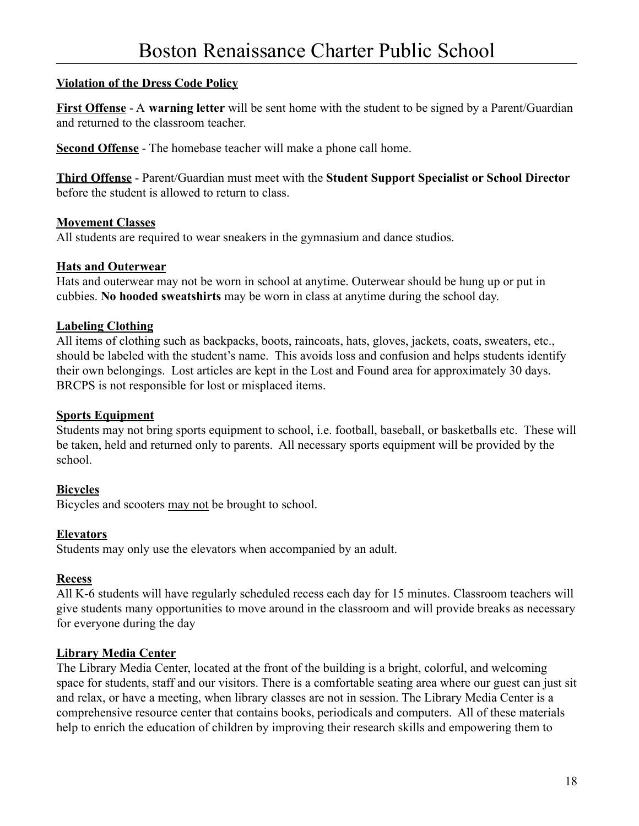#### **Violation of the Dress Code Policy**

**First Offense** - A **warning letter** will be sent home with the student to be signed by a Parent/Guardian and returned to the classroom teacher.

**Second Offense** - The homebase teacher will make a phone call home.

**Third Offense** - Parent/Guardian must meet with the **Student Support Specialist or School Director** before the student is allowed to return to class.

#### **Movement Classes**

All students are required to wear sneakers in the gymnasium and dance studios.

#### **Hats and Outerwear**

Hats and outerwear may not be worn in school at anytime. Outerwear should be hung up or put in cubbies. **No hooded sweatshirts** may be worn in class at anytime during the school day.

#### **Labeling Clothing**

All items of clothing such as backpacks, boots, raincoats, hats, gloves, jackets, coats, sweaters, etc., should be labeled with the student's name. This avoids loss and confusion and helps students identify their own belongings. Lost articles are kept in the Lost and Found area for approximately 30 days. BRCPS is not responsible for lost or misplaced items.

#### **Sports Equipment**

Students may not bring sports equipment to school, i.e. football, baseball, or basketballs etc. These will be taken, held and returned only to parents. All necessary sports equipment will be provided by the school.

#### **Bicycles**

Bicycles and scooters may not be brought to school.

#### **Elevators**

Students may only use the elevators when accompanied by an adult.

#### **Recess**

All K-6 students will have regularly scheduled recess each day for 15 minutes. Classroom teachers will give students many opportunities to move around in the classroom and will provide breaks as necessary for everyone during the day

#### **Library Media Center**

The Library Media Center, located at the front of the building is a bright, colorful, and welcoming space for students, staff and our visitors. There is a comfortable seating area where our guest can just sit and relax, or have a meeting, when library classes are not in session. The Library Media Center is a comprehensive resource center that contains books, periodicals and computers. All of these materials help to enrich the education of children by improving their research skills and empowering them to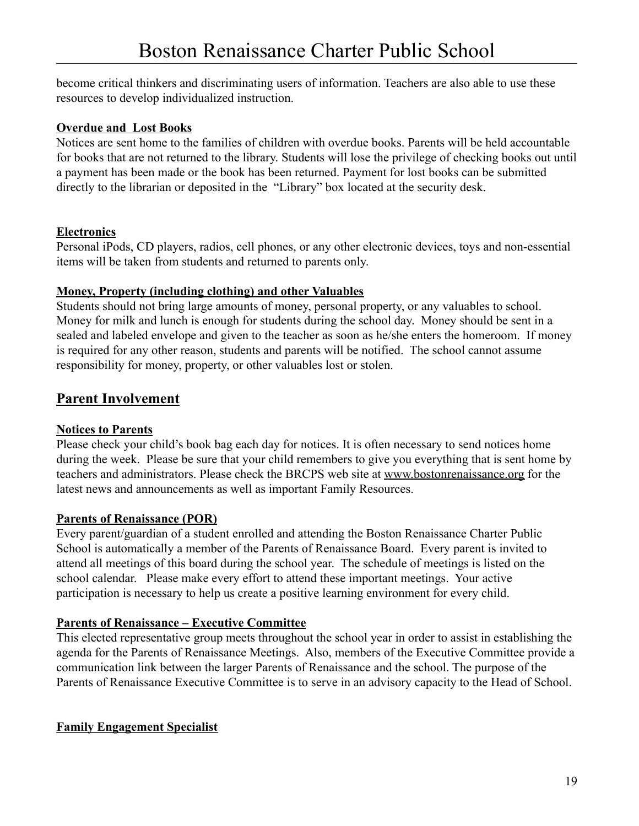become critical thinkers and discriminating users of information. Teachers are also able to use these resources to develop individualized instruction.

#### **Overdue and Lost Books**

Notices are sent home to the families of children with overdue books. Parents will be held accountable for books that are not returned to the library. Students will lose the privilege of checking books out until a payment has been made or the book has been returned. Payment for lost books can be submitted directly to the librarian or deposited in the "Library" box located at the security desk.

#### **Electronics**

Personal iPods, CD players, radios, cell phones, or any other electronic devices, toys and non-essential items will be taken from students and returned to parents only.

#### **Money, Property (including clothing) and other Valuables**

Students should not bring large amounts of money, personal property, or any valuables to school. Money for milk and lunch is enough for students during the school day. Money should be sent in a sealed and labeled envelope and given to the teacher as soon as he/she enters the homeroom. If money is required for any other reason, students and parents will be notified. The school cannot assume responsibility for money, property, or other valuables lost or stolen.

#### **Parent Involvement**

#### **Notices to Parents**

Please check your child's book bag each day for notices. It is often necessary to send notices home during the week. Please be sure that your child remembers to give you everything that is sent home by teachers and administrators. Please check the BRCPS web site at [www.bostonrenaissance.org](http://www.bostonrenaissance.org) for the latest news and announcements as well as important Family Resources.

#### **Parents of Renaissance (POR)**

Every parent/guardian of a student enrolled and attending the Boston Renaissance Charter Public School is automatically a member of the Parents of Renaissance Board. Every parent is invited to attend all meetings of this board during the school year. The schedule of meetings is listed on the school calendar. Please make every effort to attend these important meetings. Your active participation is necessary to help us create a positive learning environment for every child.

#### **Parents of Renaissance – Executive Committee**

This elected representative group meets throughout the school year in order to assist in establishing the agenda for the Parents of Renaissance Meetings. Also, members of the Executive Committee provide a communication link between the larger Parents of Renaissance and the school. The purpose of the Parents of Renaissance Executive Committee is to serve in an advisory capacity to the Head of School.

#### **Family Engagement Specialist**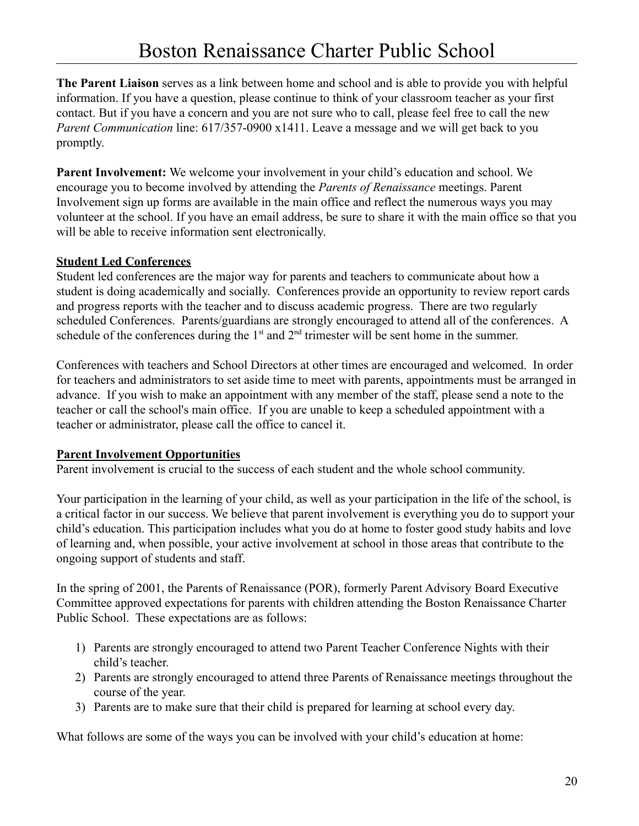**The Parent Liaison** serves as a link between home and school and is able to provide you with helpful information. If you have a question, please continue to think of your classroom teacher as your first contact. But if you have a concern and you are not sure who to call, please feel free to call the new *Parent Communication* line: 617/357-0900 x1411. Leave a message and we will get back to you promptly.

**Parent Involvement:** We welcome your involvement in your child's education and school. We encourage you to become involved by attending the *Parents of Renaissance* meetings. Parent Involvement sign up forms are available in the main office and reflect the numerous ways you may volunteer at the school. If you have an email address, be sure to share it with the main office so that you will be able to receive information sent electronically.

#### **Student Led Conferences**

Student led conferences are the major way for parents and teachers to communicate about how a student is doing academically and socially. Conferences provide an opportunity to review report cards and progress reports with the teacher and to discuss academic progress. There are two regularly scheduled Conferences. Parents/guardians are strongly encouraged to attend all of the conferences. A schedule of the conferences during the  $1<sup>st</sup>$  and  $2<sup>nd</sup>$  trimester will be sent home in the summer.

Conferences with teachers and School Directors at other times are encouraged and welcomed. In order for teachers and administrators to set aside time to meet with parents, appointments must be arranged in advance. If you wish to make an appointment with any member of the staff, please send a note to the teacher or call the school's main office. If you are unable to keep a scheduled appointment with a teacher or administrator, please call the office to cancel it.

#### **Parent Involvement Opportunities**

Parent involvement is crucial to the success of each student and the whole school community.

Your participation in the learning of your child, as well as your participation in the life of the school, is a critical factor in our success. We believe that parent involvement is everything you do to support your child's education. This participation includes what you do at home to foster good study habits and love of learning and, when possible, your active involvement at school in those areas that contribute to the ongoing support of students and staff.

In the spring of 2001, the Parents of Renaissance (POR), formerly Parent Advisory Board Executive Committee approved expectations for parents with children attending the Boston Renaissance Charter Public School. These expectations are as follows:

- 1) Parents are strongly encouraged to attend two Parent Teacher Conference Nights with their child's teacher.
- 2) Parents are strongly encouraged to attend three Parents of Renaissance meetings throughout the course of the year.
- 3) Parents are to make sure that their child is prepared for learning at school every day.

What follows are some of the ways you can be involved with your child's education at home: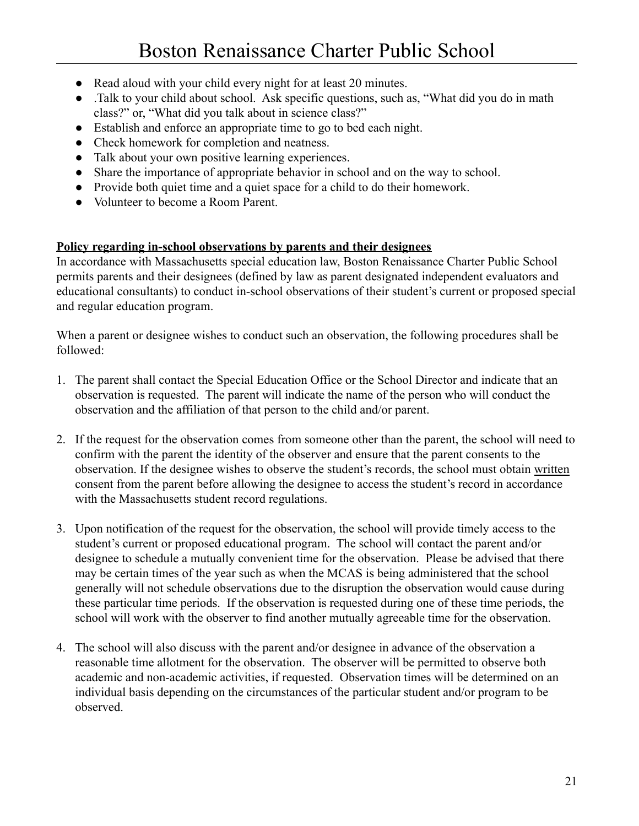- Read aloud with your child every night for at least 20 minutes.
- .Talk to your child about school. Ask specific questions, such as, "What did you do in math class?" or, "What did you talk about in science class?"
- Establish and enforce an appropriate time to go to bed each night.
- Check homework for completion and neatness.
- Talk about your own positive learning experiences.
- Share the importance of appropriate behavior in school and on the way to school.
- Provide both quiet time and a quiet space for a child to do their homework.
- Volunteer to become a Room Parent.

#### **Policy regarding in-school observations by parents and their designees**

In accordance with Massachusetts special education law, Boston Renaissance Charter Public School permits parents and their designees (defined by law as parent designated independent evaluators and educational consultants) to conduct in-school observations of their student's current or proposed special and regular education program.

When a parent or designee wishes to conduct such an observation, the following procedures shall be followed:

- 1. The parent shall contact the Special Education Office or the School Director and indicate that an observation is requested. The parent will indicate the name of the person who will conduct the observation and the affiliation of that person to the child and/or parent.
- 2. If the request for the observation comes from someone other than the parent, the school will need to confirm with the parent the identity of the observer and ensure that the parent consents to the observation. If the designee wishes to observe the student's records, the school must obtain written consent from the parent before allowing the designee to access the student's record in accordance with the Massachusetts student record regulations.
- 3. Upon notification of the request for the observation, the school will provide timely access to the student's current or proposed educational program. The school will contact the parent and/or designee to schedule a mutually convenient time for the observation. Please be advised that there may be certain times of the year such as when the MCAS is being administered that the school generally will not schedule observations due to the disruption the observation would cause during these particular time periods. If the observation is requested during one of these time periods, the school will work with the observer to find another mutually agreeable time for the observation.
- 4. The school will also discuss with the parent and/or designee in advance of the observation a reasonable time allotment for the observation. The observer will be permitted to observe both academic and non-academic activities, if requested. Observation times will be determined on an individual basis depending on the circumstances of the particular student and/or program to be observed.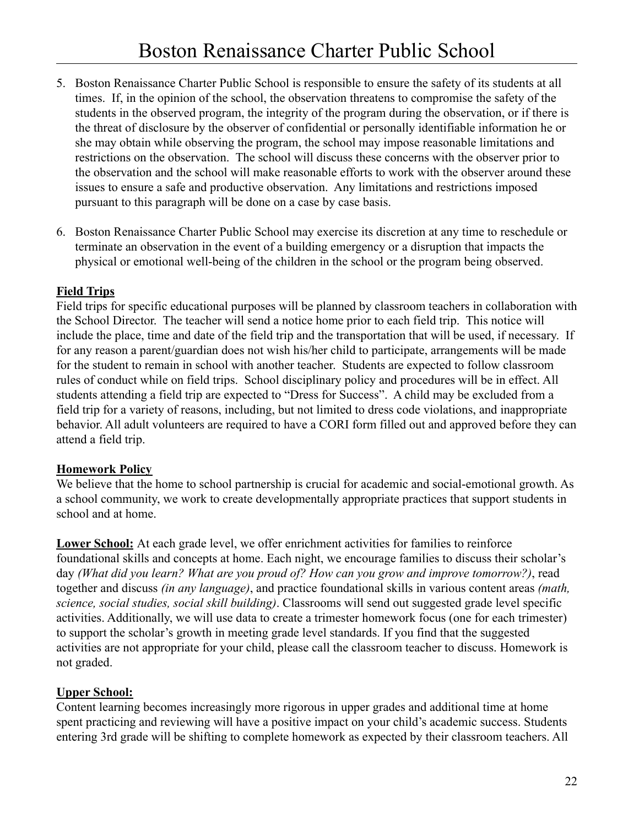- 5. Boston Renaissance Charter Public School is responsible to ensure the safety of its students at all times. If, in the opinion of the school, the observation threatens to compromise the safety of the students in the observed program, the integrity of the program during the observation, or if there is the threat of disclosure by the observer of confidential or personally identifiable information he or she may obtain while observing the program, the school may impose reasonable limitations and restrictions on the observation. The school will discuss these concerns with the observer prior to the observation and the school will make reasonable efforts to work with the observer around these issues to ensure a safe and productive observation. Any limitations and restrictions imposed pursuant to this paragraph will be done on a case by case basis.
- 6. Boston Renaissance Charter Public School may exercise its discretion at any time to reschedule or terminate an observation in the event of a building emergency or a disruption that impacts the physical or emotional well-being of the children in the school or the program being observed.

#### **Field Trips**

Field trips for specific educational purposes will be planned by classroom teachers in collaboration with the School Director. The teacher will send a notice home prior to each field trip. This notice will include the place, time and date of the field trip and the transportation that will be used, if necessary. If for any reason a parent/guardian does not wish his/her child to participate, arrangements will be made for the student to remain in school with another teacher. Students are expected to follow classroom rules of conduct while on field trips. School disciplinary policy and procedures will be in effect. All students attending a field trip are expected to "Dress for Success". A child may be excluded from a field trip for a variety of reasons, including, but not limited to dress code violations, and inappropriate behavior. All adult volunteers are required to have a CORI form filled out and approved before they can attend a field trip.

#### **Homework Policy**

We believe that the home to school partnership is crucial for academic and social-emotional growth. As a school community, we work to create developmentally appropriate practices that support students in school and at home.

**Lower School:** At each grade level, we offer enrichment activities for families to reinforce foundational skills and concepts at home. Each night, we encourage families to discuss their scholar's day *(What did you learn? What are you proud of? How can you grow and improve tomorrow?)*, read together and discuss *(in any language)*, and practice foundational skills in various content areas *(math, science, social studies, social skill building)*. Classrooms will send out suggested grade level specific activities. Additionally, we will use data to create a trimester homework focus (one for each trimester) to support the scholar's growth in meeting grade level standards. If you find that the suggested activities are not appropriate for your child, please call the classroom teacher to discuss. Homework is not graded.

#### **Upper School:**

Content learning becomes increasingly more rigorous in upper grades and additional time at home spent practicing and reviewing will have a positive impact on your child's academic success. Students entering 3rd grade will be shifting to complete homework as expected by their classroom teachers. All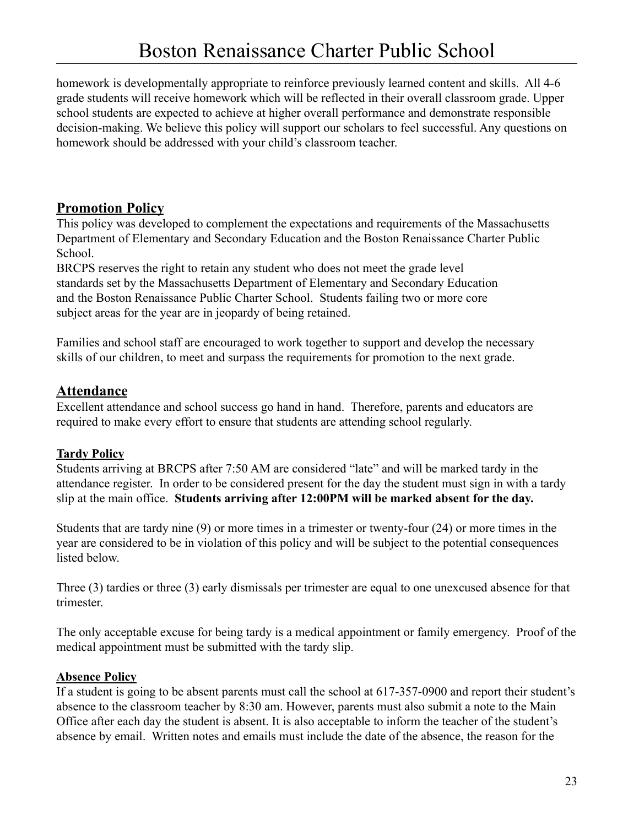homework is developmentally appropriate to reinforce previously learned content and skills. All 4-6 grade students will receive homework which will be reflected in their overall classroom grade. Upper school students are expected to achieve at higher overall performance and demonstrate responsible decision-making. We believe this policy will support our scholars to feel successful. Any questions on homework should be addressed with your child's classroom teacher.

#### **Promotion Policy**

This policy was developed to complement the expectations and requirements of the Massachusetts Department of Elementary and Secondary Education and the Boston Renaissance Charter Public School.

BRCPS reserves the right to retain any student who does not meet the grade level standards set by the Massachusetts Department of Elementary and Secondary Education and the Boston Renaissance Public Charter School. Students failing two or more core subject areas for the year are in jeopardy of being retained.

Families and school staff are encouraged to work together to support and develop the necessary skills of our children, to meet and surpass the requirements for promotion to the next grade.

#### **Attendance**

Excellent attendance and school success go hand in hand. Therefore, parents and educators are required to make every effort to ensure that students are attending school regularly.

#### **Tardy Policy**

Students arriving at BRCPS after 7:50 AM are considered "late" and will be marked tardy in the attendance register. In order to be considered present for the day the student must sign in with a tardy slip at the main office. **Students arriving after 12:00PM will be marked absent for the day.**

Students that are tardy nine (9) or more times in a trimester or twenty-four (24) or more times in the year are considered to be in violation of this policy and will be subject to the potential consequences listed below.

Three (3) tardies or three (3) early dismissals per trimester are equal to one unexcused absence for that trimester.

The only acceptable excuse for being tardy is a medical appointment or family emergency. Proof of the medical appointment must be submitted with the tardy slip.

#### **Absence Policy**

If a student is going to be absent parents must call the school at 617-357-0900 and report their student's absence to the classroom teacher by 8:30 am. However, parents must also submit a note to the Main Office after each day the student is absent. It is also acceptable to inform the teacher of the student's absence by email. Written notes and emails must include the date of the absence, the reason for the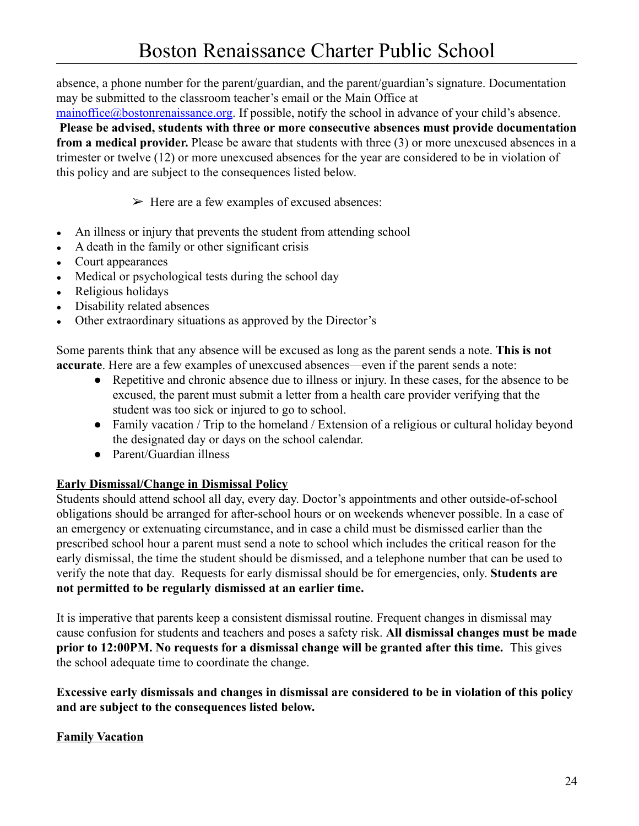absence, a phone number for the parent/guardian, and the parent/guardian's signature. Documentation may be submitted to the classroom teacher's email or the Main Office at

[mainoffice@bostonrenaissance.org.](mailto:mainoffice@bostonrenaissance.org) If possible, notify the school in advance of your child's absence.

**Please be advised, students with three or more consecutive absences must provide documentation from a medical provider.** Please be aware that students with three (3) or more unexcused absences in a trimester or twelve (12) or more unexcused absences for the year are considered to be in violation of this policy and are subject to the consequences listed below.

 $\triangleright$  Here are a few examples of excused absences:

- An illness or injury that prevents the student from attending school
- A death in the family or other significant crisis
- Court appearances
- Medical or psychological tests during the school day
- Religious holidays
- Disability related absences
- Other extraordinary situations as approved by the Director's

Some parents think that any absence will be excused as long as the parent sends a note. **This is not accurate**. Here are a few examples of unexcused absences—even if the parent sends a note:

- Repetitive and chronic absence due to illness or injury. In these cases, for the absence to be excused, the parent must submit a letter from a health care provider verifying that the student was too sick or injured to go to school.
- Family vacation / Trip to the homeland / Extension of a religious or cultural holiday beyond the designated day or days on the school calendar.
- Parent/Guardian illness

#### **Early Dismissal/Change in Dismissal Policy**

Students should attend school all day, every day. Doctor's appointments and other outside-of-school obligations should be arranged for after-school hours or on weekends whenever possible. In a case of an emergency or extenuating circumstance, and in case a child must be dismissed earlier than the prescribed school hour a parent must send a note to school which includes the critical reason for the early dismissal, the time the student should be dismissed, and a telephone number that can be used to verify the note that day. Requests for early dismissal should be for emergencies, only. **Students are not permitted to be regularly dismissed at an earlier time.**

It is imperative that parents keep a consistent dismissal routine. Frequent changes in dismissal may cause confusion for students and teachers and poses a safety risk. **All dismissal changes must be made prior to 12:00PM. No requests for a dismissal change will be granted after this time.** This gives the school adequate time to coordinate the change.

**Excessive early dismissals and changes in dismissal are considered to be in violation of this policy and are subject to the consequences listed below.**

#### **Family Vacation**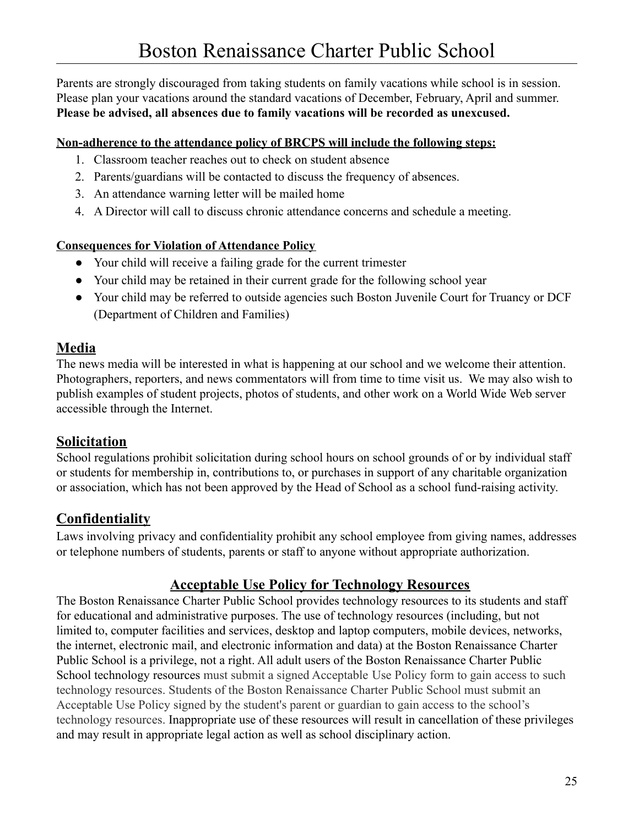Parents are strongly discouraged from taking students on family vacations while school is in session. Please plan your vacations around the standard vacations of December, February, April and summer. **Please be advised, all absences due to family vacations will be recorded as unexcused.**

#### **Non-adherence to the attendance policy of BRCPS will include the following steps:**

- 1. Classroom teacher reaches out to check on student absence
- 2. Parents/guardians will be contacted to discuss the frequency of absences.
- 3. An attendance warning letter will be mailed home
- 4. A Director will call to discuss chronic attendance concerns and schedule a meeting.

#### **Consequences for Violation of Attendance Policy**

- Your child will receive a failing grade for the current trimester
- Your child may be retained in their current grade for the following school year
- Your child may be referred to outside agencies such Boston Juvenile Court for Truancy or DCF (Department of Children and Families)

#### **Media**

The news media will be interested in what is happening at our school and we welcome their attention. Photographers, reporters, and news commentators will from time to time visit us. We may also wish to publish examples of student projects, photos of students, and other work on a World Wide Web server accessible through the Internet.

#### **Solicitation**

School regulations prohibit solicitation during school hours on school grounds of or by individual staff or students for membership in, contributions to, or purchases in support of any charitable organization or association, which has not been approved by the Head of School as a school fund-raising activity.

#### **Confidentiality**

Laws involving privacy and confidentiality prohibit any school employee from giving names, addresses or telephone numbers of students, parents or staff to anyone without appropriate authorization.

#### **Acceptable Use Policy for Technology Resources**

The Boston Renaissance Charter Public School provides technology resources to its students and staff for educational and administrative purposes. The use of technology resources (including, but not limited to, computer facilities and services, desktop and laptop computers, mobile devices, networks, the internet, electronic mail, and electronic information and data) at the Boston Renaissance Charter Public School is a privilege, not a right. All adult users of the Boston Renaissance Charter Public School technology resources must submit a signed Acceptable Use Policy form to gain access to such technology resources. Students of the Boston Renaissance Charter Public School must submit an Acceptable Use Policy signed by the student's parent or guardian to gain access to the school's technology resources. Inappropriate use of these resources will result in cancellation of these privileges and may result in appropriate legal action as well as school disciplinary action.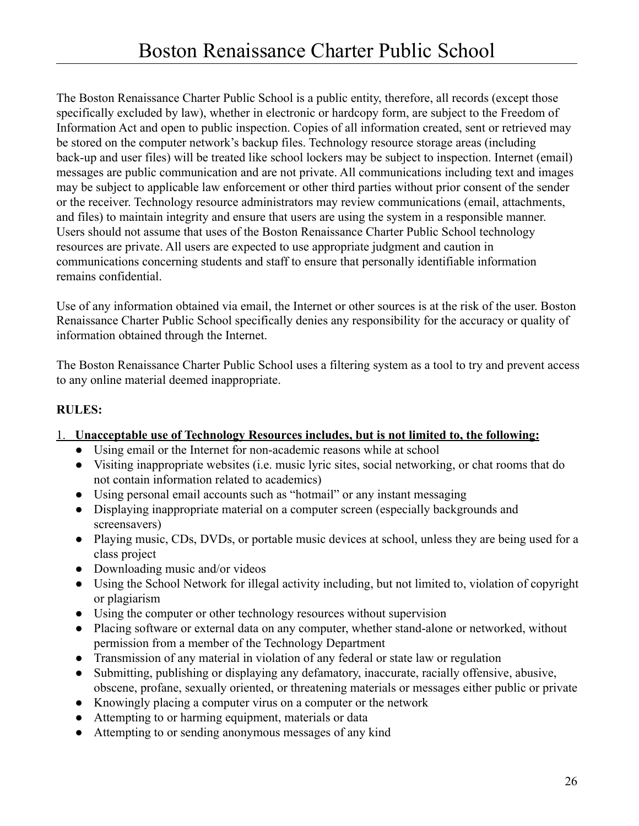The Boston Renaissance Charter Public School is a public entity, therefore, all records (except those specifically excluded by law), whether in electronic or hardcopy form, are subject to the Freedom of Information Act and open to public inspection. Copies of all information created, sent or retrieved may be stored on the computer network's backup files. Technology resource storage areas (including back-up and user files) will be treated like school lockers may be subject to inspection. Internet (email) messages are public communication and are not private. All communications including text and images may be subject to applicable law enforcement or other third parties without prior consent of the sender or the receiver. Technology resource administrators may review communications (email, attachments, and files) to maintain integrity and ensure that users are using the system in a responsible manner. Users should not assume that uses of the Boston Renaissance Charter Public School technology resources are private. All users are expected to use appropriate judgment and caution in communications concerning students and staff to ensure that personally identifiable information remains confidential.

Use of any information obtained via email, the Internet or other sources is at the risk of the user. Boston Renaissance Charter Public School specifically denies any responsibility for the accuracy or quality of information obtained through the Internet.

The Boston Renaissance Charter Public School uses a filtering system as a tool to try and prevent access to any online material deemed inappropriate.

#### **RULES:**

#### 1. **Unacceptable use of Technology Resources includes, but is not limited to, the following:**

- Using email or the Internet for non-academic reasons while at school
- Visiting inappropriate websites (i.e. music lyric sites, social networking, or chat rooms that do not contain information related to academics)
- Using personal email accounts such as "hotmail" or any instant messaging
- Displaying inappropriate material on a computer screen (especially backgrounds and screensavers)
- Playing music, CDs, DVDs, or portable music devices at school, unless they are being used for a class project
- Downloading music and/or videos
- Using the School Network for illegal activity including, but not limited to, violation of copyright or plagiarism
- Using the computer or other technology resources without supervision
- Placing software or external data on any computer, whether stand-alone or networked, without permission from a member of the Technology Department
- Transmission of any material in violation of any federal or state law or regulation
- Submitting, publishing or displaying any defamatory, inaccurate, racially offensive, abusive, obscene, profane, sexually oriented, or threatening materials or messages either public or private
- Knowingly placing a computer virus on a computer or the network
- Attempting to or harming equipment, materials or data
- Attempting to or sending anonymous messages of any kind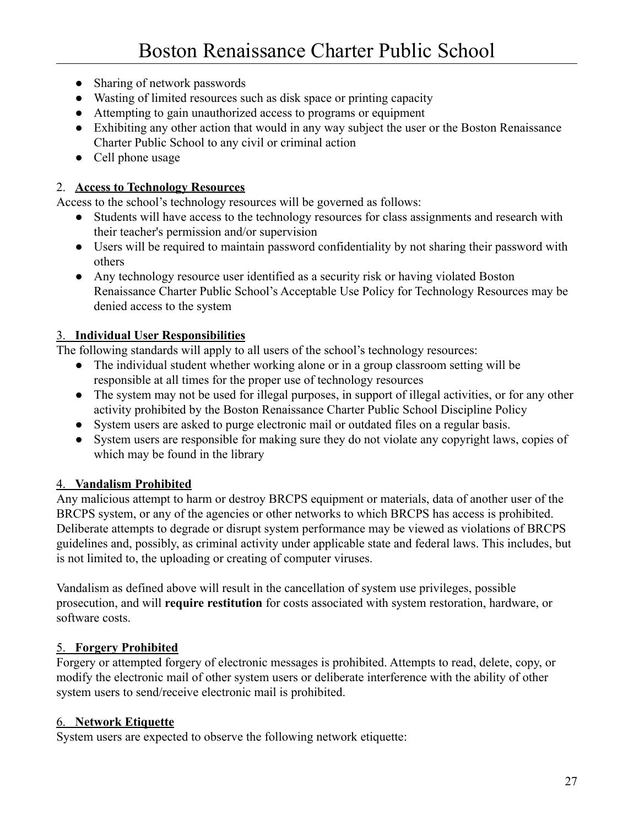- Sharing of network passwords
- Wasting of limited resources such as disk space or printing capacity
- Attempting to gain unauthorized access to programs or equipment
- Exhibiting any other action that would in any way subject the user or the Boston Renaissance Charter Public School to any civil or criminal action
- Cell phone usage

#### 2. **Access to Technology Resources**

Access to the school's technology resources will be governed as follows:

- Students will have access to the technology resources for class assignments and research with their teacher's permission and/or supervision
- Users will be required to maintain password confidentiality by not sharing their password with others
- Any technology resource user identified as a security risk or having violated Boston Renaissance Charter Public School's Acceptable Use Policy for Technology Resources may be denied access to the system

#### 3. **Individual User Responsibilities**

The following standards will apply to all users of the school's technology resources:

- The individual student whether working alone or in a group classroom setting will be responsible at all times for the proper use of technology resources
- The system may not be used for illegal purposes, in support of illegal activities, or for any other activity prohibited by the Boston Renaissance Charter Public School Discipline Policy
- System users are asked to purge electronic mail or outdated files on a regular basis.
- System users are responsible for making sure they do not violate any copyright laws, copies of which may be found in the library

#### 4. **Vandalism Prohibited**

Any malicious attempt to harm or destroy BRCPS equipment or materials, data of another user of the BRCPS system, or any of the agencies or other networks to which BRCPS has access is prohibited. Deliberate attempts to degrade or disrupt system performance may be viewed as violations of BRCPS guidelines and, possibly, as criminal activity under applicable state and federal laws. This includes, but is not limited to, the uploading or creating of computer viruses.

Vandalism as defined above will result in the cancellation of system use privileges, possible prosecution, and will **require restitution** for costs associated with system restoration, hardware, or software costs.

#### 5. **Forgery Prohibited**

Forgery or attempted forgery of electronic messages is prohibited. Attempts to read, delete, copy, or modify the electronic mail of other system users or deliberate interference with the ability of other system users to send/receive electronic mail is prohibited.

#### 6. **Network Etiquette**

System users are expected to observe the following network etiquette: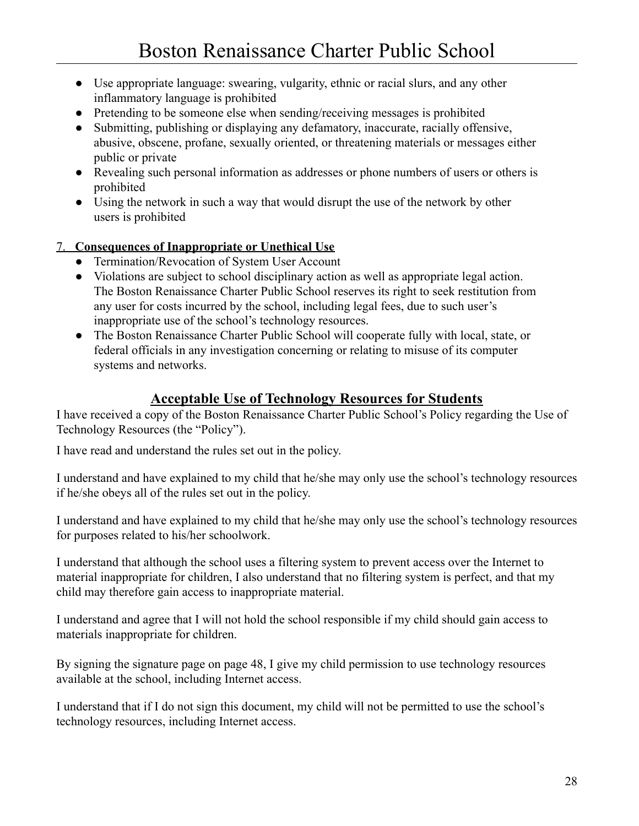- Use appropriate language: swearing, vulgarity, ethnic or racial slurs, and any other inflammatory language is prohibited
- Pretending to be someone else when sending/receiving messages is prohibited
- Submitting, publishing or displaying any defamatory, inaccurate, racially offensive, abusive, obscene, profane, sexually oriented, or threatening materials or messages either public or private
- Revealing such personal information as addresses or phone numbers of users or others is prohibited
- Using the network in such a way that would disrupt the use of the network by other users is prohibited

#### 7. **Consequences of Inappropriate or Unethical Use**

- Termination/Revocation of System User Account
- Violations are subject to school disciplinary action as well as appropriate legal action. The Boston Renaissance Charter Public School reserves its right to seek restitution from any user for costs incurred by the school, including legal fees, due to such user's inappropriate use of the school's technology resources.
- The Boston Renaissance Charter Public School will cooperate fully with local, state, or federal officials in any investigation concerning or relating to misuse of its computer systems and networks.

#### **Acceptable Use of Technology Resources for Students**

I have received a copy of the Boston Renaissance Charter Public School's Policy regarding the Use of Technology Resources (the "Policy").

I have read and understand the rules set out in the policy.

I understand and have explained to my child that he/she may only use the school's technology resources if he/she obeys all of the rules set out in the policy.

I understand and have explained to my child that he/she may only use the school's technology resources for purposes related to his/her schoolwork.

I understand that although the school uses a filtering system to prevent access over the Internet to material inappropriate for children, I also understand that no filtering system is perfect, and that my child may therefore gain access to inappropriate material.

I understand and agree that I will not hold the school responsible if my child should gain access to materials inappropriate for children.

By signing the signature page on page 48, I give my child permission to use technology resources available at the school, including Internet access.

I understand that if I do not sign this document, my child will not be permitted to use the school's technology resources, including Internet access.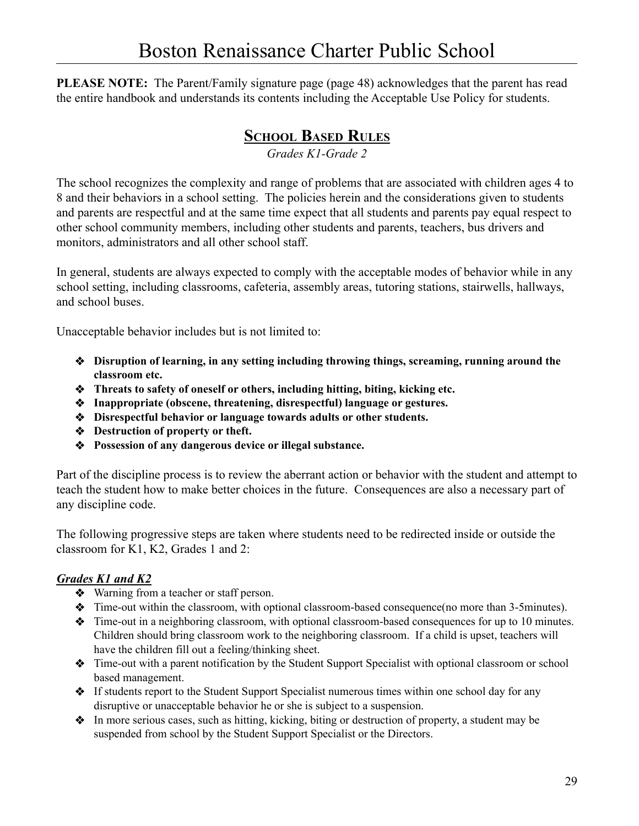**PLEASE NOTE:** The Parent/Family signature page (page 48) acknowledges that the parent has read the entire handbook and understands its contents including the Acceptable Use Policy for students.

### **SCHOOL BASED RULES**

*Grades K1-Grade 2*

The school recognizes the complexity and range of problems that are associated with children ages 4 to 8 and their behaviors in a school setting. The policies herein and the considerations given to students and parents are respectful and at the same time expect that all students and parents pay equal respect to other school community members, including other students and parents, teachers, bus drivers and monitors, administrators and all other school staff.

In general, students are always expected to comply with the acceptable modes of behavior while in any school setting, including classrooms, cafeteria, assembly areas, tutoring stations, stairwells, hallways, and school buses.

Unacceptable behavior includes but is not limited to:

- ❖ **Disruption of learning, in any setting including throwing things, screaming, running around the classroom etc.**
- ❖ **Threats to safety of oneself or others, including hitting, biting, kicking etc.**
- ❖ **Inappropriate (obscene, threatening, disrespectful) language or gestures.**
- ❖ **Disrespectful behavior or language towards adults or other students.**
- ❖ **Destruction of property or theft.**
- ❖ **Possession of any dangerous device or illegal substance.**

Part of the discipline process is to review the aberrant action or behavior with the student and attempt to teach the student how to make better choices in the future. Consequences are also a necessary part of any discipline code.

The following progressive steps are taken where students need to be redirected inside or outside the classroom for K1, K2, Grades 1 and 2:

#### *Grades K1 and K2*

- ❖ Warning from a teacher or staff person.
- ❖ Time-out within the classroom, with optional classroom-based consequence(no more than 3-5minutes).
- ❖ Time-out in a neighboring classroom, with optional classroom-based consequences for up to 10 minutes. Children should bring classroom work to the neighboring classroom. If a child is upset, teachers will have the children fill out a feeling/thinking sheet.
- ❖ Time-out with a parent notification by the Student Support Specialist with optional classroom or school based management.
- ❖ If students report to the Student Support Specialist numerous times within one school day for any disruptive or unacceptable behavior he or she is subject to a suspension.
- ❖ In more serious cases, such as hitting, kicking, biting or destruction of property, a student may be suspended from school by the Student Support Specialist or the Directors.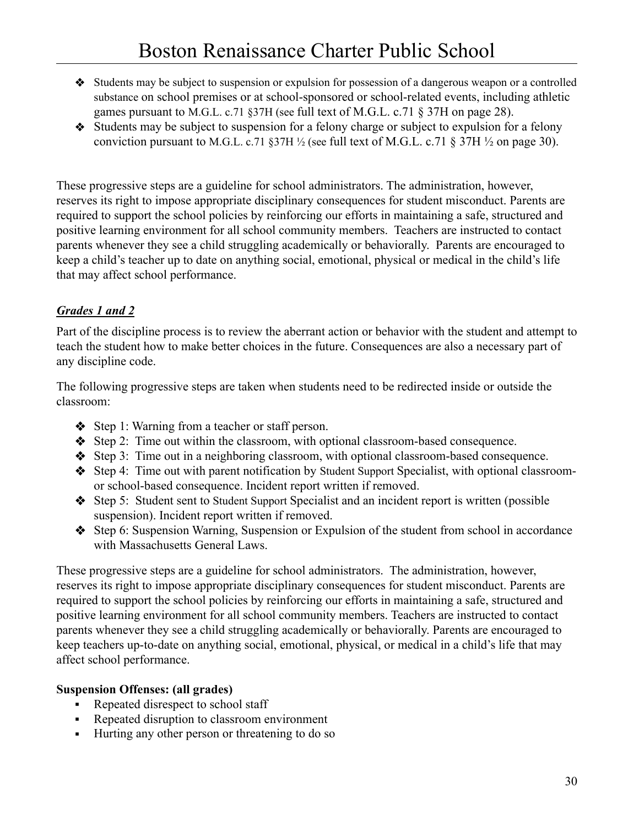- ❖ Students may be subject to suspension or expulsion for possession of a dangerous weapon or a controlled substance on school premises or at school-sponsored or school-related events, including athletic games pursuant to M.G.L. c.71 §37H (see full text of M.G.L. c.71 § 37H on page 28).
- ❖ Students may be subject to suspension for a felony charge or subject to expulsion for a felony conviction pursuant to M.G.L. c.71  $\S 37H$  ½ (see full text of M.G.L. c.71  $\S 37H$  ½ on page 30).

These progressive steps are a guideline for school administrators. The administration, however, reserves its right to impose appropriate disciplinary consequences for student misconduct. Parents are required to support the school policies by reinforcing our efforts in maintaining a safe, structured and positive learning environment for all school community members. Teachers are instructed to contact parents whenever they see a child struggling academically or behaviorally. Parents are encouraged to keep a child's teacher up to date on anything social, emotional, physical or medical in the child's life that may affect school performance.

#### *Grades 1 and 2*

Part of the discipline process is to review the aberrant action or behavior with the student and attempt to teach the student how to make better choices in the future. Consequences are also a necessary part of any discipline code.

The following progressive steps are taken when students need to be redirected inside or outside the classroom:

- ❖ Step 1: Warning from a teacher or staff person.
- ❖ Step 2: Time out within the classroom, with optional classroom-based consequence.
- ❖ Step 3: Time out in a neighboring classroom, with optional classroom-based consequence.
- ❖ Step 4: Time out with parent notification by Student Support Specialist, with optional classroomor school-based consequence. Incident report written if removed.
- ❖ Step 5: Student sent to Student Support Specialist and an incident report is written (possible suspension). Incident report written if removed.
- ❖ Step 6: Suspension Warning, Suspension or Expulsion of the student from school in accordance with Massachusetts General Laws.

These progressive steps are a guideline for school administrators. The administration, however, reserves its right to impose appropriate disciplinary consequences for student misconduct. Parents are required to support the school policies by reinforcing our efforts in maintaining a safe, structured and positive learning environment for all school community members. Teachers are instructed to contact parents whenever they see a child struggling academically or behaviorally. Parents are encouraged to keep teachers up-to-date on anything social, emotional, physical, or medical in a child's life that may affect school performance.

#### **Suspension Offenses: (all grades)**

- Repeated disrespect to school staff
- Repeated disruption to classroom environment
- Hurting any other person or threatening to do so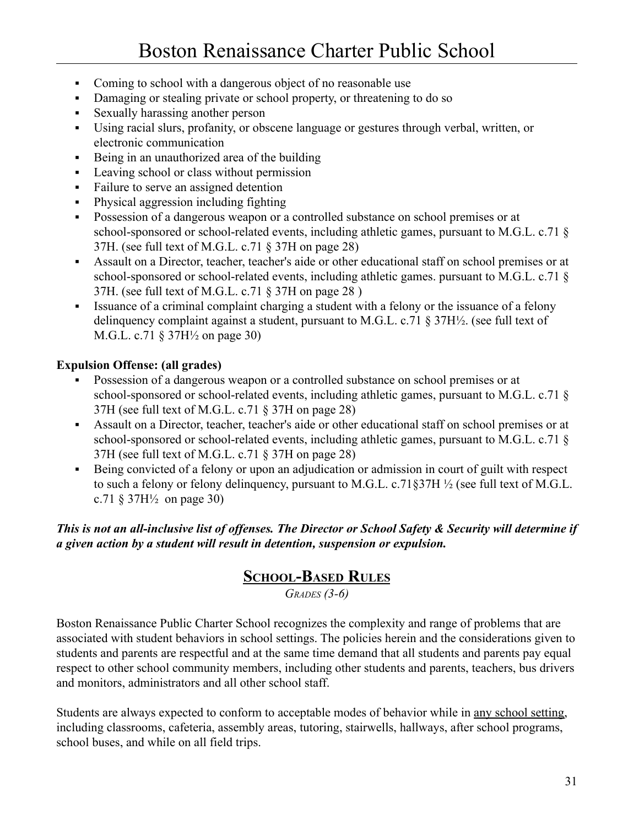- Coming to school with a dangerous object of no reasonable use
- Damaging or stealing private or school property, or threatening to do so
- **Example 1** Sexually harassing another person
- Using racial slurs, profanity, or obscene language or gestures through verbal, written, or electronic communication
- Being in an unauthorized area of the building
- **•** Leaving school or class without permission
- Failure to serve an assigned detention
- Physical aggression including fighting
- **•** Possession of a dangerous weapon or a controlled substance on school premises or at school-sponsored or school-related events, including athletic games, pursuant to M.G.L. c.71 § 37H. (see full text of M.G.L. c.71 § 37H on page 28)
- Assault on a Director, teacher, teacher's aide or other educational staff on school premises or at school-sponsored or school-related events, including athletic games, pursuant to M.G.L. c.71 §  $37H$ . (see full text of M.G.L. c.71  $\S 37H$  on page 28)
- Issuance of a criminal complaint charging a student with a felony or the issuance of a felony delinquency complaint against a student, pursuant to M.G.L. c.71 § 37H½. (see full text of M.G.L. c.71 § 37H½ on page 30)

#### **Expulsion Offense: (all grades)**

- Possession of a dangerous weapon or a controlled substance on school premises or at school-sponsored or school-related events, including athletic games, pursuant to M.G.L. c.71 § 37H (see full text of M.G.L. c.71 § 37H on page 28)
- Assault on a Director, teacher, teacher's aide or other educational staff on school premises or at school-sponsored or school-related events, including athletic games, pursuant to M.G.L. c.71 § 37H (see full text of M.G.L. c.71 § 37H on page 28)
- Being convicted of a felony or upon an adjudication or admission in court of guilt with respect to such a felony or felony delinguency, pursuant to M.G.L. c.71 $\frac{37H}{2}$  (see full text of M.G.L. c.71  $\S 37H\frac{1}{2}$  on page 30)

#### *This is not an all-inclusive list of offenses. The Director or School Safety & Security will determine if a given action by a student will result in detention, suspension or expulsion.*

### **SCHOOL-BASED RULES**

*GRADES (3-6)*

Boston Renaissance Public Charter School recognizes the complexity and range of problems that are associated with student behaviors in school settings. The policies herein and the considerations given to students and parents are respectful and at the same time demand that all students and parents pay equal respect to other school community members, including other students and parents, teachers, bus drivers and monitors, administrators and all other school staff.

Students are always expected to conform to acceptable modes of behavior while in any school setting, including classrooms, cafeteria, assembly areas, tutoring, stairwells, hallways, after school programs, school buses, and while on all field trips.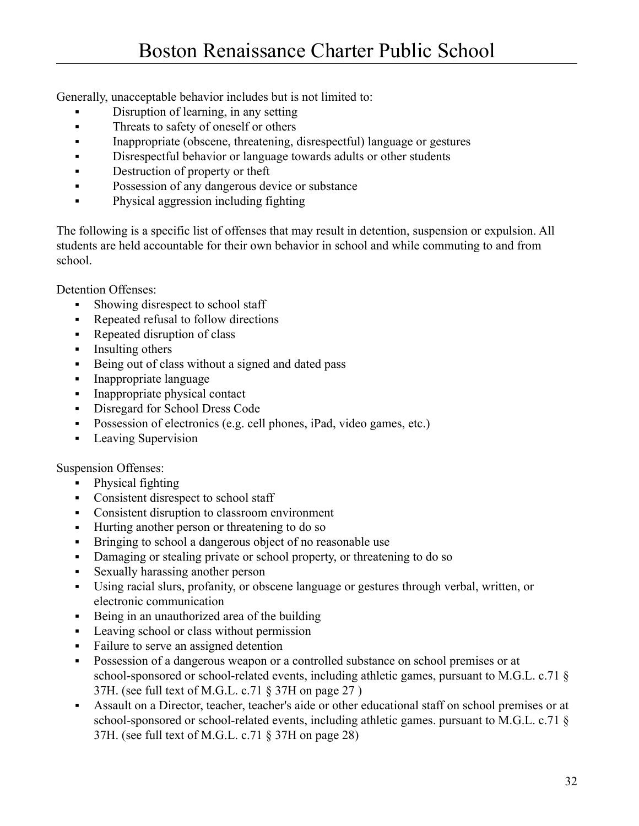Generally, unacceptable behavior includes but is not limited to:

- **•** Disruption of learning, in any setting
- **•** Threats to safety of oneself or others
- Inappropriate (obscene, threatening, disrespectful) language or gestures
- Disrespectful behavior or language towards adults or other students
- Destruction of property or theft
- **•** Possession of any dangerous device or substance
- **•** Physical aggression including fighting

The following is a specific list of offenses that may result in detention, suspension or expulsion. All students are held accountable for their own behavior in school and while commuting to and from school.

Detention Offenses:

- Showing disrespect to school staff
- Repeated refusal to follow directions
- Repeated disruption of class
- **•** Insulting others
- Being out of class without a signed and dated pass
- **•** Inappropriate language
- Inappropriate physical contact
- Disregard for School Dress Code
- Possession of electronics (e.g. cell phones, iPad, video games, etc.)
- **•** Leaving Supervision

Suspension Offenses:

- Physical fighting
- Consistent disrespect to school staff
- Consistent disruption to classroom environment
- Hurting another person or threatening to do so
- Bringing to school a dangerous object of no reasonable use
- Damaging or stealing private or school property, or threatening to do so
- **Example 1** Sexually harassing another person
- Using racial slurs, profanity, or obscene language or gestures through verbal, written, or electronic communication
- Being in an unauthorized area of the building
- Leaving school or class without permission
- Failure to serve an assigned detention
- Possession of a dangerous weapon or a controlled substance on school premises or at school-sponsored or school-related events, including athletic games, pursuant to M.G.L. c.71 §  $37H$ . (see full text of M.G.L. c.71  $\S 37H$  on page 27)
- Assault on a Director, teacher, teacher's aide or other educational staff on school premises or at school-sponsored or school-related events, including athletic games, pursuant to M.G.L. c.71 § 37H. (see full text of M.G.L. c.71 § 37H on page 28)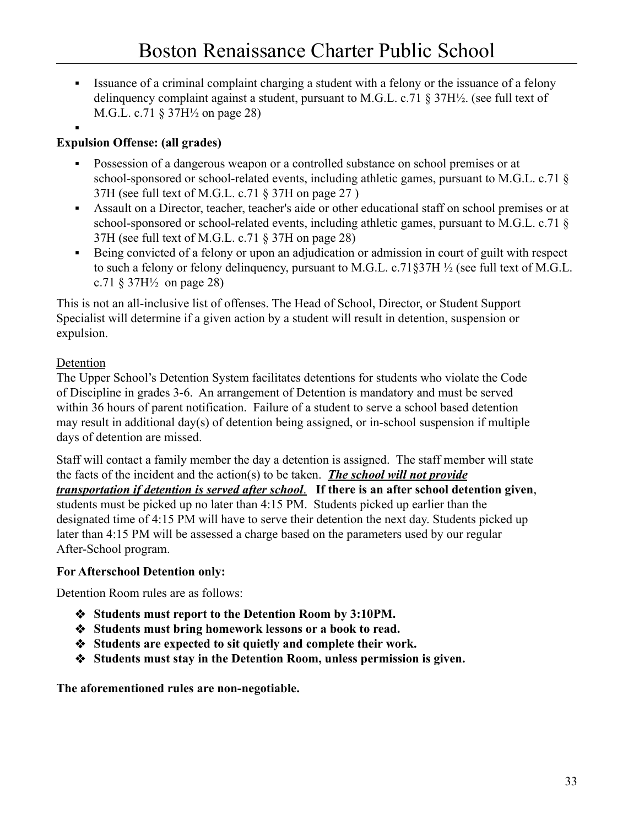Issuance of a criminal complaint charging a student with a felony or the issuance of a felony delinquency complaint against a student, pursuant to M.G.L. c.71 § 37H½. (see full text of M.G.L. c.71 § 37H½ on page 28)

#### ▪ **Expulsion Offense: (all grades)**

- Possession of a dangerous weapon or a controlled substance on school premises or at school-sponsored or school-related events, including athletic games, pursuant to M.G.L. c.71 § 37H (see full text of M.G.L. c.71 § 37H on page 27 )
- Assault on a Director, teacher, teacher's aide or other educational staff on school premises or at school-sponsored or school-related events, including athletic games, pursuant to M.G.L. c.71 § 37H (see full text of M.G.L. c.71 § 37H on page 28)
- Being convicted of a felony or upon an adjudication or admission in court of guilt with respect to such a felony or felony delinquency, pursuant to M.G.L. c.71§37H $\frac{1}{2}$  (see full text of M.G.L. c.71  $$37H\frac{1}{2}$  on page 28)

This is not an all-inclusive list of offenses. The Head of School, Director, or Student Support Specialist will determine if a given action by a student will result in detention, suspension or expulsion.

#### **Detention**

The Upper School's Detention System facilitates detentions for students who violate the Code of Discipline in grades 3-6. An arrangement of Detention is mandatory and must be served within 36 hours of parent notification. Failure of a student to serve a school based detention may result in additional day(s) of detention being assigned, or in-school suspension if multiple days of detention are missed.

Staff will contact a family member the day a detention is assigned. The staff member will state the facts of the incident and the action(s) to be taken. *The school will not provide*

*transportation if detention is served after school*. **If there is an after school detention given**, students must be picked up no later than 4:15 PM. Students picked up earlier than the designated time of 4:15 PM will have to serve their detention the next day. Students picked up later than 4:15 PM will be assessed a charge based on the parameters used by our regular After-School program.

#### **For Afterschool Detention only:**

Detention Room rules are as follows:

- ❖ **Students must report to the Detention Room by 3:10PM.**
- ❖ **Students must bring homework lessons or a book to read.**
- ❖ **Students are expected to sit quietly and complete their work.**
- ❖ **Students must stay in the Detention Room, unless permission is given.**

**The aforementioned rules are non-negotiable.**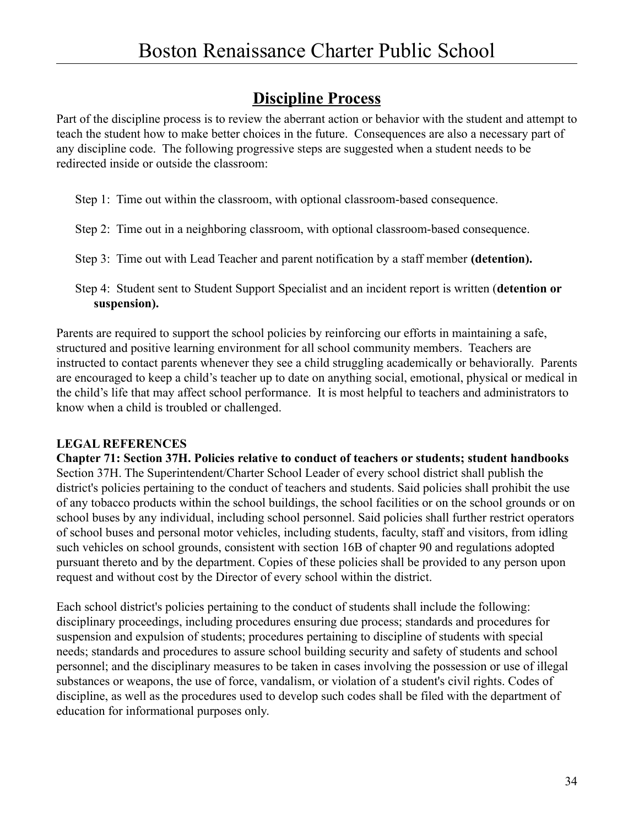### **Discipline Process**

Part of the discipline process is to review the aberrant action or behavior with the student and attempt to teach the student how to make better choices in the future. Consequences are also a necessary part of any discipline code. The following progressive steps are suggested when a student needs to be redirected inside or outside the classroom:

Step 1: Time out within the classroom, with optional classroom-based consequence.

- Step 2: Time out in a neighboring classroom, with optional classroom-based consequence.
- Step 3: Time out with Lead Teacher and parent notification by a staff member **(detention).**
- Step 4: Student sent to Student Support Specialist and an incident report is written (**detention or suspension).**

Parents are required to support the school policies by reinforcing our efforts in maintaining a safe, structured and positive learning environment for all school community members. Teachers are instructed to contact parents whenever they see a child struggling academically or behaviorally. Parents are encouraged to keep a child's teacher up to date on anything social, emotional, physical or medical in the child's life that may affect school performance. It is most helpful to teachers and administrators to know when a child is troubled or challenged.

#### **LEGAL REFERENCES**

**Chapter 71: Section 37H. Policies relative to conduct of teachers or students; student handbooks** Section 37H. The Superintendent/Charter School Leader of every school district shall publish the district's policies pertaining to the conduct of teachers and students. Said policies shall prohibit the use of any tobacco products within the school buildings, the school facilities or on the school grounds or on school buses by any individual, including school personnel. Said policies shall further restrict operators of school buses and personal motor vehicles, including students, faculty, staff and visitors, from idling such vehicles on school grounds, consistent with section 16B of chapter 90 and regulations adopted pursuant thereto and by the department. Copies of these policies shall be provided to any person upon request and without cost by the Director of every school within the district.

Each school district's policies pertaining to the conduct of students shall include the following: disciplinary proceedings, including procedures ensuring due process; standards and procedures for suspension and expulsion of students; procedures pertaining to discipline of students with special needs; standards and procedures to assure school building security and safety of students and school personnel; and the disciplinary measures to be taken in cases involving the possession or use of illegal substances or weapons, the use of force, vandalism, or violation of a student's civil rights. Codes of discipline, as well as the procedures used to develop such codes shall be filed with the department of education for informational purposes only.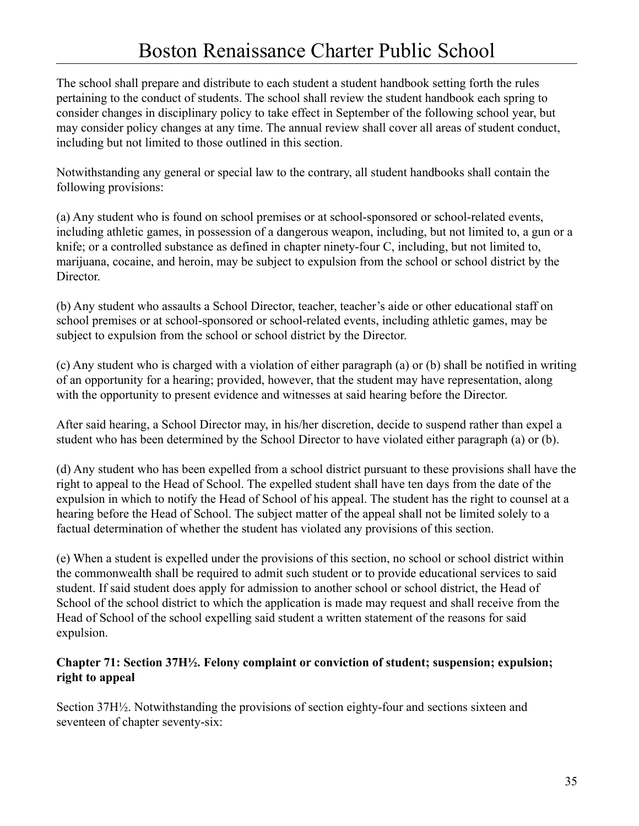# Boston Renaissance Charter Public School

The school shall prepare and distribute to each student a student handbook setting forth the rules pertaining to the conduct of students. The school shall review the student handbook each spring to consider changes in disciplinary policy to take effect in September of the following school year, but may consider policy changes at any time. The annual review shall cover all areas of student conduct, including but not limited to those outlined in this section.

Notwithstanding any general or special law to the contrary, all student handbooks shall contain the following provisions:

(a) Any student who is found on school premises or at school-sponsored or school-related events, including athletic games, in possession of a dangerous weapon, including, but not limited to, a gun or a knife; or a controlled substance as defined in chapter ninety-four C, including, but not limited to, marijuana, cocaine, and heroin, may be subject to expulsion from the school or school district by the Director.

(b) Any student who assaults a School Director, teacher, teacher's aide or other educational staff on school premises or at school-sponsored or school-related events, including athletic games, may be subject to expulsion from the school or school district by the Director.

(c) Any student who is charged with a violation of either paragraph (a) or (b) shall be notified in writing of an opportunity for a hearing; provided, however, that the student may have representation, along with the opportunity to present evidence and witnesses at said hearing before the Director.

After said hearing, a School Director may, in his/her discretion, decide to suspend rather than expel a student who has been determined by the School Director to have violated either paragraph (a) or (b).

(d) Any student who has been expelled from a school district pursuant to these provisions shall have the right to appeal to the Head of School. The expelled student shall have ten days from the date of the expulsion in which to notify the Head of School of his appeal. The student has the right to counsel at a hearing before the Head of School. The subject matter of the appeal shall not be limited solely to a factual determination of whether the student has violated any provisions of this section.

(e) When a student is expelled under the provisions of this section, no school or school district within the commonwealth shall be required to admit such student or to provide educational services to said student. If said student does apply for admission to another school or school district, the Head of School of the school district to which the application is made may request and shall receive from the Head of School of the school expelling said student a written statement of the reasons for said expulsion.

#### **Chapter 71: Section 37H½. Felony complaint or conviction of student; suspension; expulsion; right to appeal**

Section 37H½. Notwithstanding the provisions of section eighty-four and sections sixteen and seventeen of chapter seventy-six: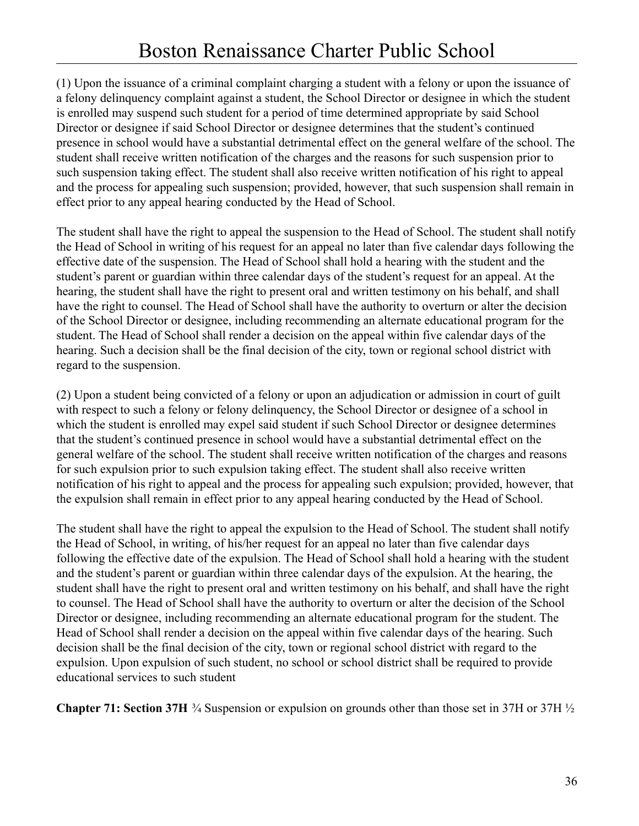(1) Upon the issuance of a criminal complaint charging a student with a felony or upon the issuance of a felony delinquency complaint against a student, the School Director or designee in which the student is enrolled may suspend such student for a period of time determined appropriate by said School Director or designee if said School Director or designee determines that the student's continued presence in school would have a substantial detrimental effect on the general welfare of the school. The student shall receive written notification of the charges and the reasons for such suspension prior to such suspension taking effect. The student shall also receive written notification of his right to appeal and the process for appealing such suspension; provided, however, that such suspension shall remain in effect prior to any appeal hearing conducted by the Head of School.

The student shall have the right to appeal the suspension to the Head of School. The student shall notify the Head of School in writing of his request for an appeal no later than five calendar days following the effective date of the suspension. The Head of School shall hold a hearing with the student and the student's parent or guardian within three calendar days of the student's request for an appeal. At the hearing, the student shall have the right to present oral and written testimony on his behalf, and shall have the right to counsel. The Head of School shall have the authority to overturn or alter the decision of the School Director or designee, including recommending an alternate educational program for the student. The Head of School shall render a decision on the appeal within five calendar days of the hearing. Such a decision shall be the final decision of the city, town or regional school district with regard to the suspension.

(2) Upon a student being convicted of a felony or upon an adjudication or admission in court of guilt with respect to such a felony or felony delinquency, the School Director or designee of a school in which the student is enrolled may expel said student if such School Director or designee determines that the student's continued presence in school would have a substantial detrimental effect on the general welfare of the school. The student shall receive written notification of the charges and reasons for such expulsion prior to such expulsion taking effect. The student shall also receive written notification of his right to appeal and the process for appealing such expulsion; provided, however, that the expulsion shall remain in effect prior to any appeal hearing conducted by the Head of School.

The student shall have the right to appeal the expulsion to the Head of School. The student shall notify the Head of School, in writing, of his/her request for an appeal no later than five calendar days following the effective date of the expulsion. The Head of School shall hold a hearing with the student and the student's parent or guardian within three calendar days of the expulsion. At the hearing, the student shall have the right to present oral and written testimony on his behalf, and shall have the right to counsel. The Head of School shall have the authority to overturn or alter the decision of the School Director or designee, including recommending an alternate educational program for the student. The Head of School shall render a decision on the appeal within five calendar days of the hearing. Such decision shall be the final decision of the city, town or regional school district with regard to the expulsion. Upon expulsion of such student, no school or school district shall be required to provide educational services to such student

**Chapter 71: Section 37H** ¾ Suspension or expulsion on grounds other than those set in 37H or 37H ½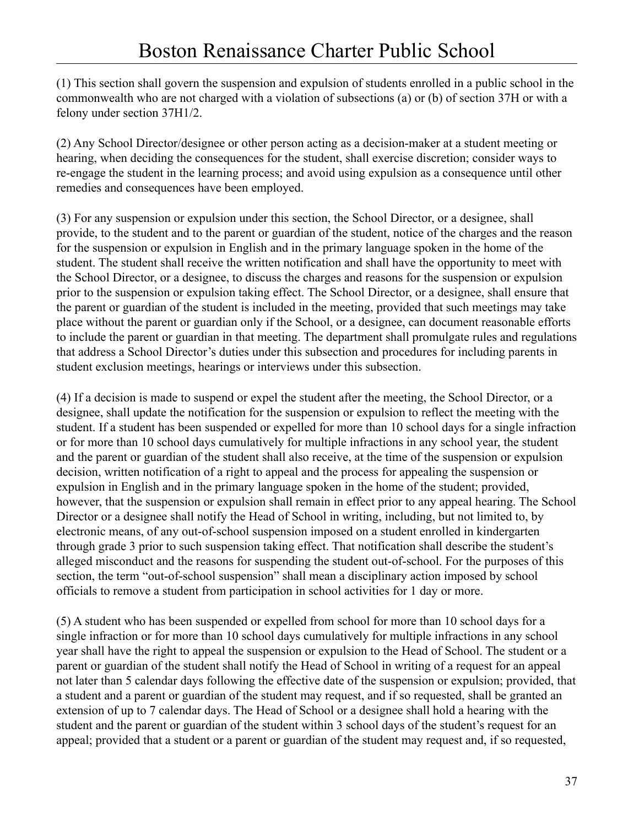(1) This section shall govern the suspension and expulsion of students enrolled in a public school in the commonwealth who are not charged with a violation of subsections (a) or (b) of section 37H or with a felony under section 37H1/2.

(2) Any School Director/designee or other person acting as a decision-maker at a student meeting or hearing, when deciding the consequences for the student, shall exercise discretion; consider ways to re-engage the student in the learning process; and avoid using expulsion as a consequence until other remedies and consequences have been employed.

(3) For any suspension or expulsion under this section, the School Director, or a designee, shall provide, to the student and to the parent or guardian of the student, notice of the charges and the reason for the suspension or expulsion in English and in the primary language spoken in the home of the student. The student shall receive the written notification and shall have the opportunity to meet with the School Director, or a designee, to discuss the charges and reasons for the suspension or expulsion prior to the suspension or expulsion taking effect. The School Director, or a designee, shall ensure that the parent or guardian of the student is included in the meeting, provided that such meetings may take place without the parent or guardian only if the School, or a designee, can document reasonable efforts to include the parent or guardian in that meeting. The department shall promulgate rules and regulations that address a School Director's duties under this subsection and procedures for including parents in student exclusion meetings, hearings or interviews under this subsection.

(4) If a decision is made to suspend or expel the student after the meeting, the School Director, or a designee, shall update the notification for the suspension or expulsion to reflect the meeting with the student. If a student has been suspended or expelled for more than 10 school days for a single infraction or for more than 10 school days cumulatively for multiple infractions in any school year, the student and the parent or guardian of the student shall also receive, at the time of the suspension or expulsion decision, written notification of a right to appeal and the process for appealing the suspension or expulsion in English and in the primary language spoken in the home of the student; provided, however, that the suspension or expulsion shall remain in effect prior to any appeal hearing. The School Director or a designee shall notify the Head of School in writing, including, but not limited to, by electronic means, of any out-of-school suspension imposed on a student enrolled in kindergarten through grade 3 prior to such suspension taking effect. That notification shall describe the student's alleged misconduct and the reasons for suspending the student out-of-school. For the purposes of this section, the term "out-of-school suspension" shall mean a disciplinary action imposed by school officials to remove a student from participation in school activities for 1 day or more.

(5) A student who has been suspended or expelled from school for more than 10 school days for a single infraction or for more than 10 school days cumulatively for multiple infractions in any school year shall have the right to appeal the suspension or expulsion to the Head of School. The student or a parent or guardian of the student shall notify the Head of School in writing of a request for an appeal not later than 5 calendar days following the effective date of the suspension or expulsion; provided, that a student and a parent or guardian of the student may request, and if so requested, shall be granted an extension of up to 7 calendar days. The Head of School or a designee shall hold a hearing with the student and the parent or guardian of the student within 3 school days of the student's request for an appeal; provided that a student or a parent or guardian of the student may request and, if so requested,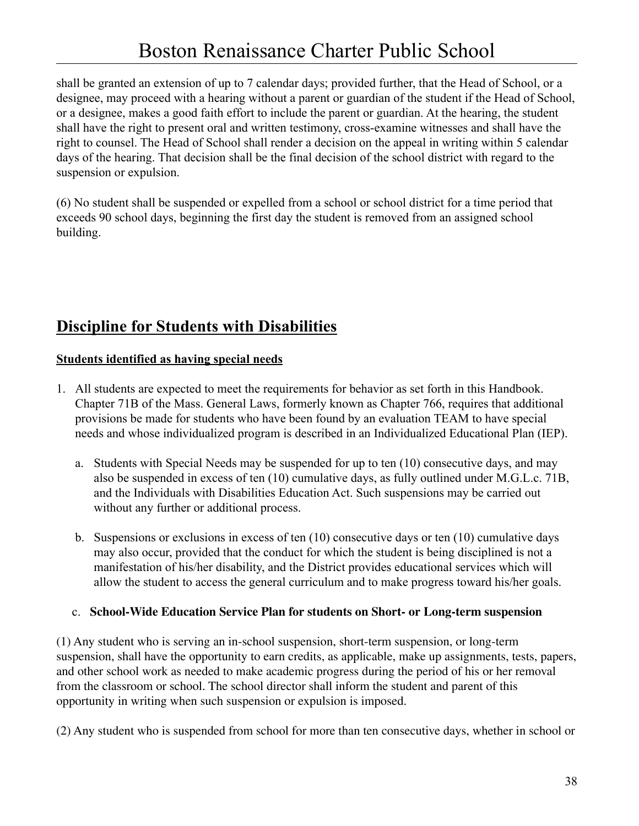shall be granted an extension of up to 7 calendar days; provided further, that the Head of School, or a designee, may proceed with a hearing without a parent or guardian of the student if the Head of School, or a designee, makes a good faith effort to include the parent or guardian. At the hearing, the student shall have the right to present oral and written testimony, cross-examine witnesses and shall have the right to counsel. The Head of School shall render a decision on the appeal in writing within 5 calendar days of the hearing. That decision shall be the final decision of the school district with regard to the suspension or expulsion.

(6) No student shall be suspended or expelled from a school or school district for a time period that exceeds 90 school days, beginning the first day the student is removed from an assigned school building.

### **Discipline for Students with Disabilities**

#### **Students identified as having special needs**

- 1. All students are expected to meet the requirements for behavior as set forth in this Handbook. Chapter 71B of the Mass. General Laws, formerly known as Chapter 766, requires that additional provisions be made for students who have been found by an evaluation TEAM to have special needs and whose individualized program is described in an Individualized Educational Plan (IEP).
	- a. Students with Special Needs may be suspended for up to ten (10) consecutive days, and may also be suspended in excess of ten (10) cumulative days, as fully outlined under M.G.L.c. 71B, and the Individuals with Disabilities Education Act. Such suspensions may be carried out without any further or additional process.
	- b. Suspensions or exclusions in excess of ten (10) consecutive days or ten (10) cumulative days may also occur, provided that the conduct for which the student is being disciplined is not a manifestation of his/her disability, and the District provides educational services which will allow the student to access the general curriculum and to make progress toward his/her goals.

#### c. **School-Wide Education Service Plan for students on Short- or Long-term suspension**

(1) Any student who is serving an in-school suspension, short-term suspension, or long-term suspension, shall have the opportunity to earn credits, as applicable, make up assignments, tests, papers, and other school work as needed to make academic progress during the period of his or her removal from the classroom or school. The school director shall inform the student and parent of this opportunity in writing when such suspension or expulsion is imposed.

(2) Any student who is suspended from school for more than ten consecutive days, whether in school or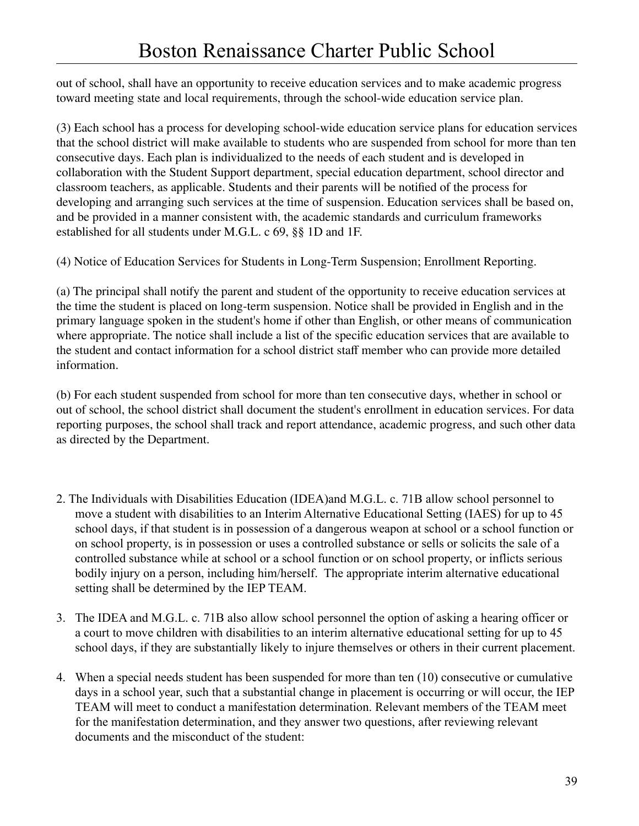out of school, shall have an opportunity to receive education services and to make academic progress toward meeting state and local requirements, through the school-wide education service plan.

(3) Each school has a process for developing school-wide education service plans for education services that the school district will make available to students who are suspended from school for more than ten consecutive days. Each plan is individualized to the needs of each student and is developed in collaboration with the Student Support department, special education department, school director and classroom teachers, as applicable. Students and their parents will be notified of the process for developing and arranging such services at the time of suspension. Education services shall be based on, and be provided in a manner consistent with, the academic standards and curriculum frameworks established for all students under M.G.L. c 69, §§ 1D and 1F.

(4) Notice of Education Services for Students in Long-Term Suspension; Enrollment Reporting.

(a) The principal shall notify the parent and student of the opportunity to receive education services at the time the student is placed on long-term suspension. Notice shall be provided in English and in the primary language spoken in the student's home if other than English, or other means of communication where appropriate. The notice shall include a list of the specific education services that are available to the student and contact information for a school district staff member who can provide more detailed information.

(b) For each student suspended from school for more than ten consecutive days, whether in school or out of school, the school district shall document the student's enrollment in education services. For data reporting purposes, the school shall track and report attendance, academic progress, and such other data as directed by the Department.

- 2. The Individuals with Disabilities Education (IDEA)and M.G.L. c. 71B allow school personnel to move a student with disabilities to an Interim Alternative Educational Setting (IAES) for up to 45 school days, if that student is in possession of a dangerous weapon at school or a school function or on school property, is in possession or uses a controlled substance or sells or solicits the sale of a controlled substance while at school or a school function or on school property, or inflicts serious bodily injury on a person, including him/herself. The appropriate interim alternative educational setting shall be determined by the IEP TEAM.
- 3. The IDEA and M.G.L. c. 71B also allow school personnel the option of asking a hearing officer or a court to move children with disabilities to an interim alternative educational setting for up to 45 school days, if they are substantially likely to injure themselves or others in their current placement.
- 4. When a special needs student has been suspended for more than ten (10) consecutive or cumulative days in a school year, such that a substantial change in placement is occurring or will occur, the IEP TEAM will meet to conduct a manifestation determination. Relevant members of the TEAM meet for the manifestation determination, and they answer two questions, after reviewing relevant documents and the misconduct of the student: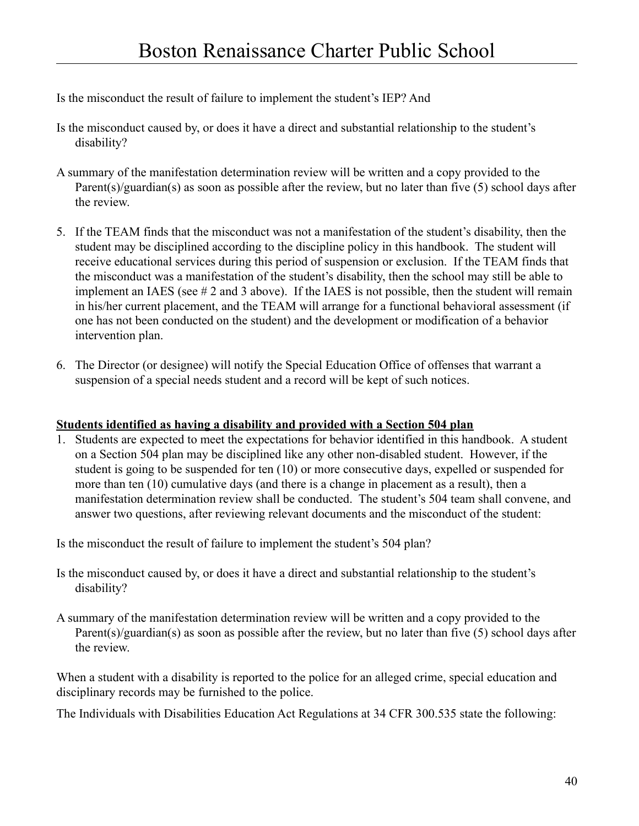Is the misconduct the result of failure to implement the student's IEP? And

- Is the misconduct caused by, or does it have a direct and substantial relationship to the student's disability?
- A summary of the manifestation determination review will be written and a copy provided to the Parent(s)/guardian(s) as soon as possible after the review, but no later than five (5) school days after the review.
- 5. If the TEAM finds that the misconduct was not a manifestation of the student's disability, then the student may be disciplined according to the discipline policy in this handbook. The student will receive educational services during this period of suspension or exclusion. If the TEAM finds that the misconduct was a manifestation of the student's disability, then the school may still be able to implement an IAES (see  $\#2$  and 3 above). If the IAES is not possible, then the student will remain in his/her current placement, and the TEAM will arrange for a functional behavioral assessment (if one has not been conducted on the student) and the development or modification of a behavior intervention plan.
- 6. The Director (or designee) will notify the Special Education Office of offenses that warrant a suspension of a special needs student and a record will be kept of such notices.

#### **Students identified as having a disability and provided with a Section 504 plan**

1. Students are expected to meet the expectations for behavior identified in this handbook. A student on a Section 504 plan may be disciplined like any other non-disabled student. However, if the student is going to be suspended for ten (10) or more consecutive days, expelled or suspended for more than ten (10) cumulative days (and there is a change in placement as a result), then a manifestation determination review shall be conducted. The student's 504 team shall convene, and answer two questions, after reviewing relevant documents and the misconduct of the student:

Is the misconduct the result of failure to implement the student's 504 plan?

- Is the misconduct caused by, or does it have a direct and substantial relationship to the student's disability?
- A summary of the manifestation determination review will be written and a copy provided to the Parent(s)/guardian(s) as soon as possible after the review, but no later than five (5) school days after the review.

When a student with a disability is reported to the police for an alleged crime, special education and disciplinary records may be furnished to the police.

The Individuals with Disabilities Education Act Regulations at 34 CFR 300.535 state the following: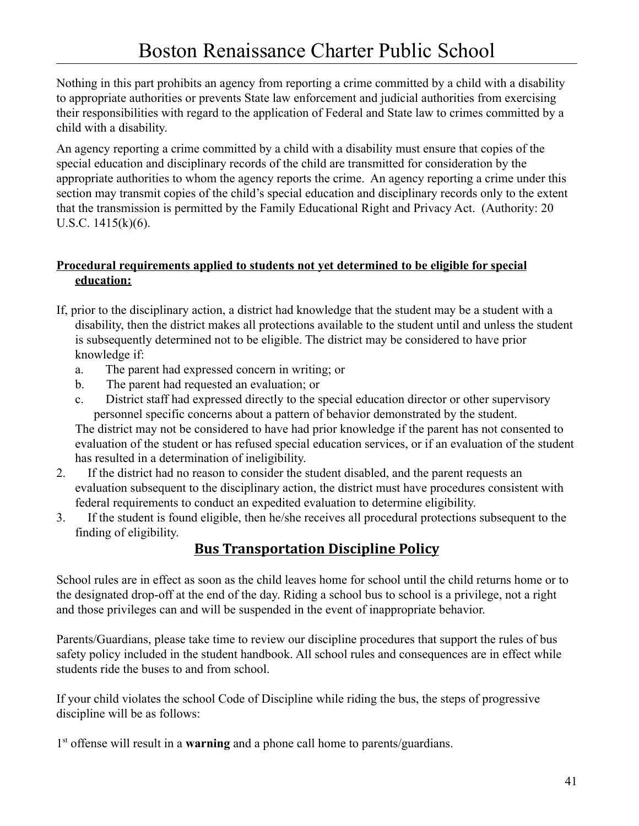Nothing in this part prohibits an agency from reporting a crime committed by a child with a disability to appropriate authorities or prevents State law enforcement and judicial authorities from exercising their responsibilities with regard to the application of Federal and State law to crimes committed by a child with a disability.

An agency reporting a crime committed by a child with a disability must ensure that copies of the special education and disciplinary records of the child are transmitted for consideration by the appropriate authorities to whom the agency reports the crime. An agency reporting a crime under this section may transmit copies of the child's special education and disciplinary records only to the extent that the transmission is permitted by the Family Educational Right and Privacy Act. (Authority: 20 U.S.C. 1415(k)(6).

#### **Procedural requirements applied to students not yet determined to be eligible for special education:**

- If, prior to the disciplinary action, a district had knowledge that the student may be a student with a disability, then the district makes all protections available to the student until and unless the student is subsequently determined not to be eligible. The district may be considered to have prior knowledge if:
	- a. The parent had expressed concern in writing; or
	- b. The parent had requested an evaluation; or
	- c. District staff had expressed directly to the special education director or other supervisory personnel specific concerns about a pattern of behavior demonstrated by the student.

The district may not be considered to have had prior knowledge if the parent has not consented to evaluation of the student or has refused special education services, or if an evaluation of the student has resulted in a determination of ineligibility.

- 2. If the district had no reason to consider the student disabled, and the parent requests an evaluation subsequent to the disciplinary action, the district must have procedures consistent with federal requirements to conduct an expedited evaluation to determine eligibility.
- 3. If the student is found eligible, then he/she receives all procedural protections subsequent to the finding of eligibility.

### **Bus Transportation Discipline Policy**

School rules are in effect as soon as the child leaves home for school until the child returns home or to the designated drop-off at the end of the day. Riding a school bus to school is a privilege, not a right and those privileges can and will be suspended in the event of inappropriate behavior.

Parents/Guardians, please take time to review our discipline procedures that support the rules of bus safety policy included in the student handbook. All school rules and consequences are in effect while students ride the buses to and from school.

If your child violates the school Code of Discipline while riding the bus, the steps of progressive discipline will be as follows:

1<sup>st</sup> offense will result in a **warning** and a phone call home to parents/guardians.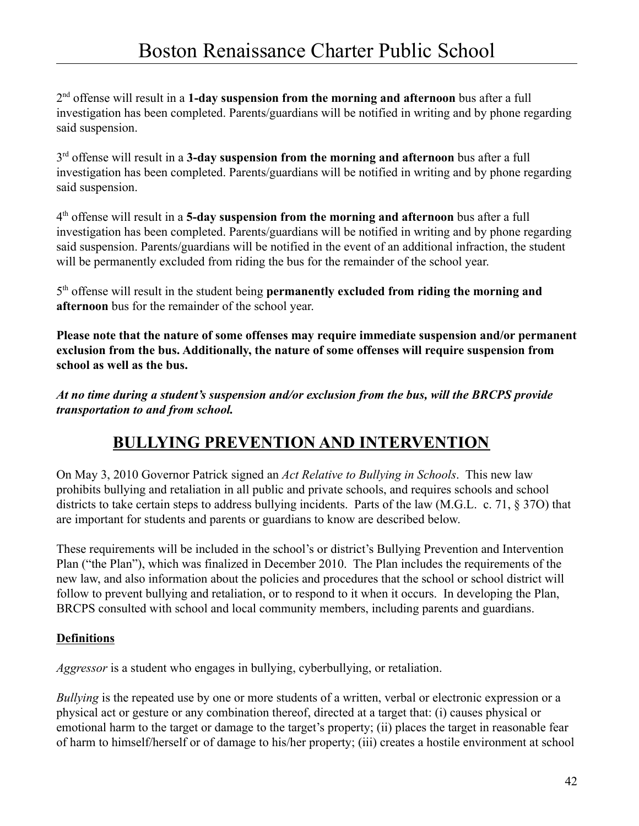2 nd offense will result in a **1-day suspension from the morning and afternoon** bus after a full investigation has been completed. Parents/guardians will be notified in writing and by phone regarding said suspension.

3 rd offense will result in a **3-day suspension from the morning and afternoon** bus after a full investigation has been completed. Parents/guardians will be notified in writing and by phone regarding said suspension.

4 th offense will result in a **5-day suspension from the morning and afternoon** bus after a full investigation has been completed. Parents/guardians will be notified in writing and by phone regarding said suspension. Parents/guardians will be notified in the event of an additional infraction, the student will be permanently excluded from riding the bus for the remainder of the school year.

5 th offense will result in the student being **permanently excluded from riding the morning and afternoon** bus for the remainder of the school year.

**Please note that the nature of some offenses may require immediate suspension and/or permanent exclusion from the bus. Additionally, the nature of some offenses will require suspension from school as well as the bus.**

*At no time during a student's suspension and/or exclusion from the bus, will the BRCPS provide transportation to and from school.*

### **BULLYING PREVENTION AND INTERVENTION**

On May 3, 2010 Governor Patrick signed an *Act Relative to Bullying in Schools*. This new law prohibits bullying and retaliation in all public and private schools, and requires schools and school districts to take certain steps to address bullying incidents. Parts of the law (M.G.L. c. 71, § 37O) that are important for students and parents or guardians to know are described below.

These requirements will be included in the school's or district's Bullying Prevention and Intervention Plan ("the Plan"), which was finalized in December 2010. The Plan includes the requirements of the new law, and also information about the policies and procedures that the school or school district will follow to prevent bullying and retaliation, or to respond to it when it occurs. In developing the Plan, BRCPS consulted with school and local community members, including parents and guardians.

#### **Definitions**

*Aggressor* is a student who engages in bullying, cyberbullying, or retaliation.

*Bullying* is the repeated use by one or more students of a written, verbal or electronic expression or a physical act or gesture or any combination thereof, directed at a target that: (i) causes physical or emotional harm to the target or damage to the target's property; (ii) places the target in reasonable fear of harm to himself/herself or of damage to his/her property; (iii) creates a hostile environment at school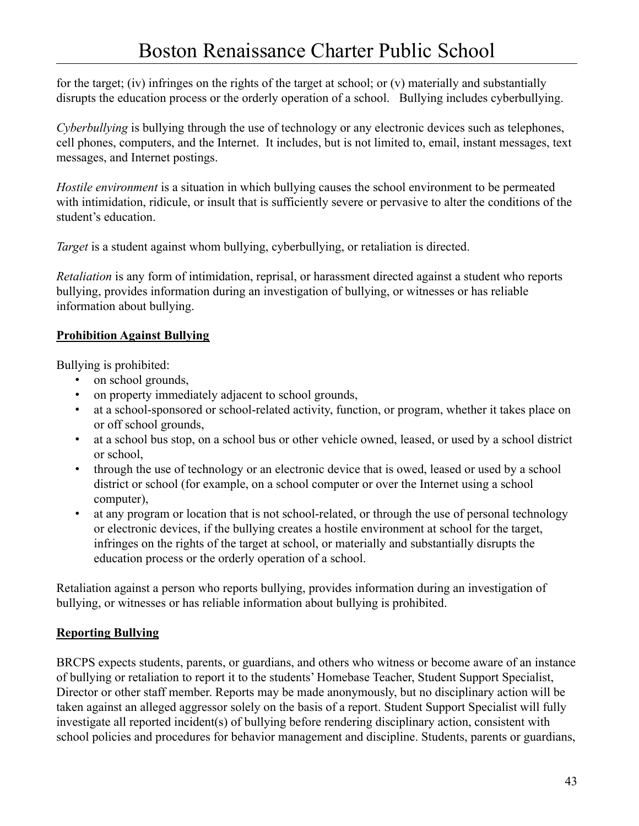for the target; (iv) infringes on the rights of the target at school; or (v) materially and substantially disrupts the education process or the orderly operation of a school. Bullying includes cyberbullying.

*Cyberbullying* is bullying through the use of technology or any electronic devices such as telephones, cell phones, computers, and the Internet. It includes, but is not limited to, email, instant messages, text messages, and Internet postings.

*Hostile environment* is a situation in which bullying causes the school environment to be permeated with intimidation, ridicule, or insult that is sufficiently severe or pervasive to alter the conditions of the student's education.

*Target* is a student against whom bullying, cyberbullying, or retaliation is directed.

*Retaliation* is any form of intimidation, reprisal, or harassment directed against a student who reports bullying, provides information during an investigation of bullying, or witnesses or has reliable information about bullying.

#### **Prohibition Against Bullying**

Bullying is prohibited:

- on school grounds,
- on property immediately adjacent to school grounds,
- at a school-sponsored or school-related activity, function, or program, whether it takes place on or off school grounds,
- at a school bus stop, on a school bus or other vehicle owned, leased, or used by a school district or school,
- through the use of technology or an electronic device that is owed, leased or used by a school district or school (for example, on a school computer or over the Internet using a school computer),
- at any program or location that is not school-related, or through the use of personal technology or electronic devices, if the bullying creates a hostile environment at school for the target, infringes on the rights of the target at school, or materially and substantially disrupts the education process or the orderly operation of a school.

Retaliation against a person who reports bullying, provides information during an investigation of bullying, or witnesses or has reliable information about bullying is prohibited.

#### **Reporting Bullying**

BRCPS expects students, parents, or guardians, and others who witness or become aware of an instance of bullying or retaliation to report it to the students' Homebase Teacher, Student Support Specialist, Director or other staff member. Reports may be made anonymously, but no disciplinary action will be taken against an alleged aggressor solely on the basis of a report. Student Support Specialist will fully investigate all reported incident(s) of bullying before rendering disciplinary action, consistent with school policies and procedures for behavior management and discipline. Students, parents or guardians,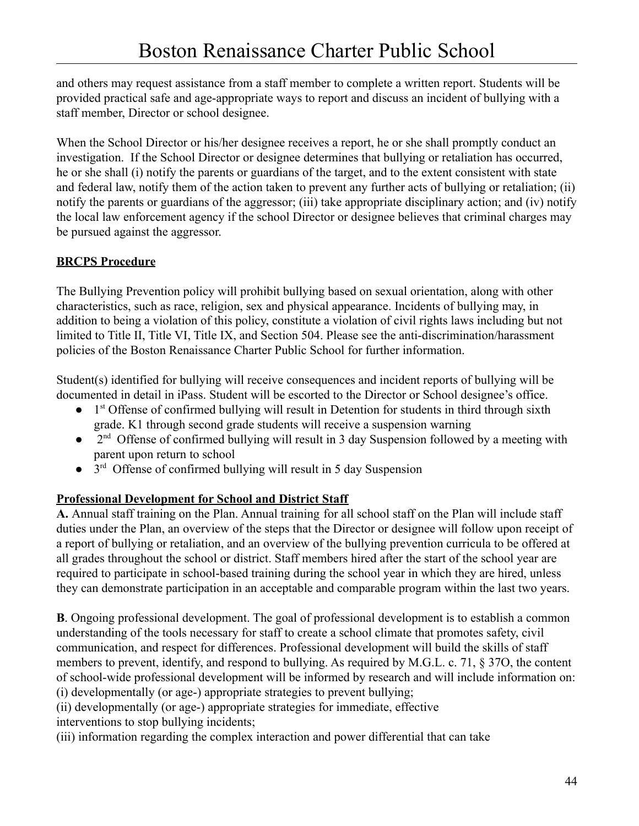and others may request assistance from a staff member to complete a written report. Students will be provided practical safe and age-appropriate ways to report and discuss an incident of bullying with a staff member, Director or school designee.

When the School Director or his/her designee receives a report, he or she shall promptly conduct an investigation. If the School Director or designee determines that bullying or retaliation has occurred, he or she shall (i) notify the parents or guardians of the target, and to the extent consistent with state and federal law, notify them of the action taken to prevent any further acts of bullying or retaliation; (ii) notify the parents or guardians of the aggressor; (iii) take appropriate disciplinary action; and (iv) notify the local law enforcement agency if the school Director or designee believes that criminal charges may be pursued against the aggressor.

#### **BRCPS Procedure**

The Bullying Prevention policy will prohibit bullying based on sexual orientation, along with other characteristics, such as race, religion, sex and physical appearance. Incidents of bullying may, in addition to being a violation of this policy, constitute a violation of civil rights laws including but not limited to Title II, Title VI, Title IX, and Section 504. Please see the anti-discrimination/harassment policies of the Boston Renaissance Charter Public School for further information.

Student(s) identified for bullying will receive consequences and incident reports of bullying will be documented in detail in iPass. Student will be escorted to the Director or School designee's office.

- 1<sup>st</sup> Offense of confirmed bullying will result in Detention for students in third through sixth grade. K1 through second grade students will receive a suspension warning
- $\bullet$   $2<sup>nd</sup>$  Offense of confirmed bullying will result in 3 day Suspension followed by a meeting with parent upon return to school
- 3<sup>rd</sup> Offense of confirmed bullying will result in 5 day Suspension

#### **Professional Development for School and District Staff**

**A.** Annual staff training on the Plan. Annual training for all school staff on the Plan will include staff duties under the Plan, an overview of the steps that the Director or designee will follow upon receipt of a report of bullying or retaliation, and an overview of the bullying prevention curricula to be offered at all grades throughout the school or district. Staff members hired after the start of the school year are required to participate in school-based training during the school year in which they are hired, unless they can demonstrate participation in an acceptable and comparable program within the last two years.

**B**. Ongoing professional development. The goal of professional development is to establish a common understanding of the tools necessary for staff to create a school climate that promotes safety, civil communication, and respect for differences. Professional development will build the skills of staff members to prevent, identify, and respond to bullying. As required by M.G.L. c. 71, § 37O, the content of school-wide professional development will be informed by research and will include information on: (i) developmentally (or age-) appropriate strategies to prevent bullying;

(ii) developmentally (or age-) appropriate strategies for immediate, effective interventions to stop bullying incidents;

(iii) information regarding the complex interaction and power differential that can take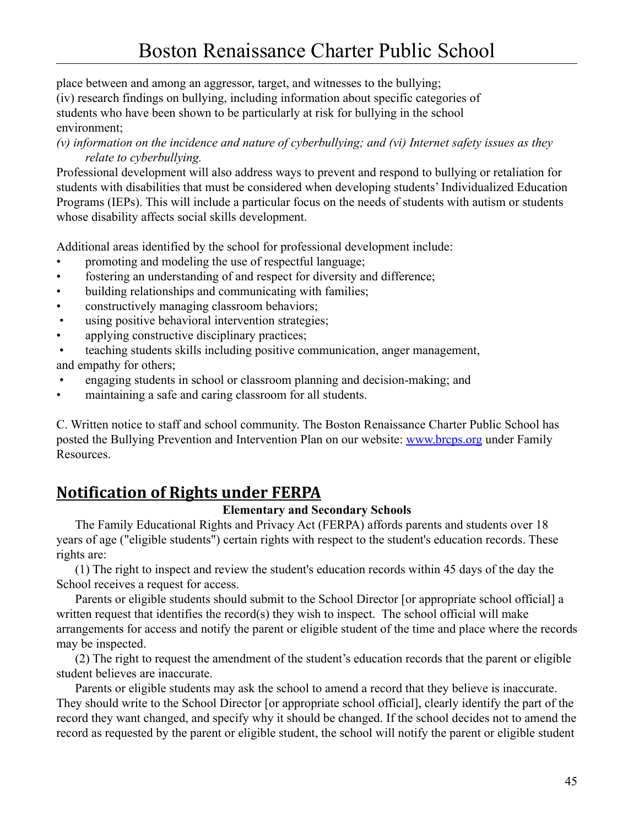place between and among an aggressor, target, and witnesses to the bullying; (iv) research findings on bullying, including information about specific categories of students who have been shown to be particularly at risk for bullying in the school environment;

*(v) information on the incidence and nature of cyberbullying; and (vi) Internet safety issues as they relate to cyberbullying.*

Professional development will also address ways to prevent and respond to bullying or retaliation for students with disabilities that must be considered when developing students' Individualized Education Programs (IEPs). This will include a particular focus on the needs of students with autism or students whose disability affects social skills development.

Additional areas identified by the school for professional development include:

- promoting and modeling the use of respectful language;
- fostering an understanding of and respect for diversity and difference;
- building relationships and communicating with families;
- constructively managing classroom behaviors;
- using positive behavioral intervention strategies;
- applying constructive disciplinary practices;
- teaching students skills including positive communication, anger management, and empathy for others;
- engaging students in school or classroom planning and decision-making; and
- maintaining a safe and caring classroom for all students.

C. Written notice to staff and school community. The Boston Renaissance Charter Public School has posted the Bullying Prevention and Intervention Plan on our website: [www.brcps.org](http://www.brcps.org) under Family Resources.

## **Notification of Rights under FERPA**

#### **Elementary and Secondary Schools**

The Family Educational Rights and Privacy Act (FERPA) affords parents and students over 18 years of age ("eligible students") certain rights with respect to the student's education records. These rights are:

(1) The right to inspect and review the student's education records within 45 days of the day the School receives a request for access.

Parents or eligible students should submit to the School Director [or appropriate school official] a written request that identifies the record(s) they wish to inspect. The school official will make arrangements for access and notify the parent or eligible student of the time and place where the records may be inspected.

(2) The right to request the amendment of the student's education records that the parent or eligible student believes are inaccurate.

Parents or eligible students may ask the school to amend a record that they believe is inaccurate. They should write to the School Director [or appropriate school official], clearly identify the part of the record they want changed, and specify why it should be changed. If the school decides not to amend the record as requested by the parent or eligible student, the school will notify the parent or eligible student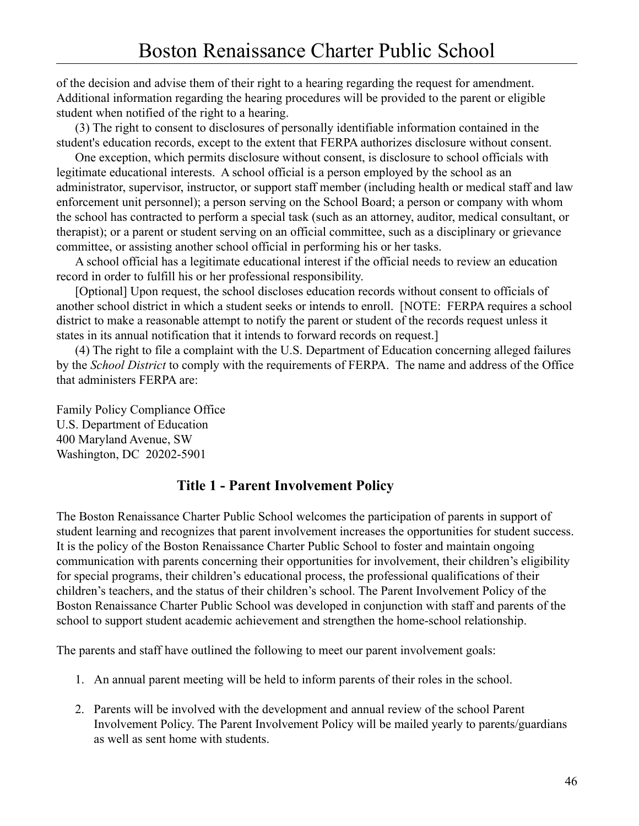of the decision and advise them of their right to a hearing regarding the request for amendment. Additional information regarding the hearing procedures will be provided to the parent or eligible student when notified of the right to a hearing.

(3) The right to consent to disclosures of personally identifiable information contained in the student's education records, except to the extent that FERPA authorizes disclosure without consent.

One exception, which permits disclosure without consent, is disclosure to school officials with legitimate educational interests. A school official is a person employed by the school as an administrator, supervisor, instructor, or support staff member (including health or medical staff and law enforcement unit personnel); a person serving on the School Board; a person or company with whom the school has contracted to perform a special task (such as an attorney, auditor, medical consultant, or therapist); or a parent or student serving on an official committee, such as a disciplinary or grievance committee, or assisting another school official in performing his or her tasks.

A school official has a legitimate educational interest if the official needs to review an education record in order to fulfill his or her professional responsibility.

[Optional] Upon request, the school discloses education records without consent to officials of another school district in which a student seeks or intends to enroll. [NOTE: FERPA requires a school district to make a reasonable attempt to notify the parent or student of the records request unless it states in its annual notification that it intends to forward records on request.]

(4) The right to file a complaint with the U.S. Department of Education concerning alleged failures by the *School District* to comply with the requirements of FERPA. The name and address of the Office that administers FERPA are:

Family Policy Compliance Office U.S. Department of Education 400 Maryland Avenue, SW Washington, DC 20202-5901

#### **Title 1 - Parent Involvement Policy**

The Boston Renaissance Charter Public School welcomes the participation of parents in support of student learning and recognizes that parent involvement increases the opportunities for student success. It is the policy of the Boston Renaissance Charter Public School to foster and maintain ongoing communication with parents concerning their opportunities for involvement, their children's eligibility for special programs, their children's educational process, the professional qualifications of their children's teachers, and the status of their children's school. The Parent Involvement Policy of the Boston Renaissance Charter Public School was developed in conjunction with staff and parents of the school to support student academic achievement and strengthen the home-school relationship.

The parents and staff have outlined the following to meet our parent involvement goals:

- 1. An annual parent meeting will be held to inform parents of their roles in the school.
- 2. Parents will be involved with the development and annual review of the school Parent Involvement Policy. The Parent Involvement Policy will be mailed yearly to parents/guardians as well as sent home with students.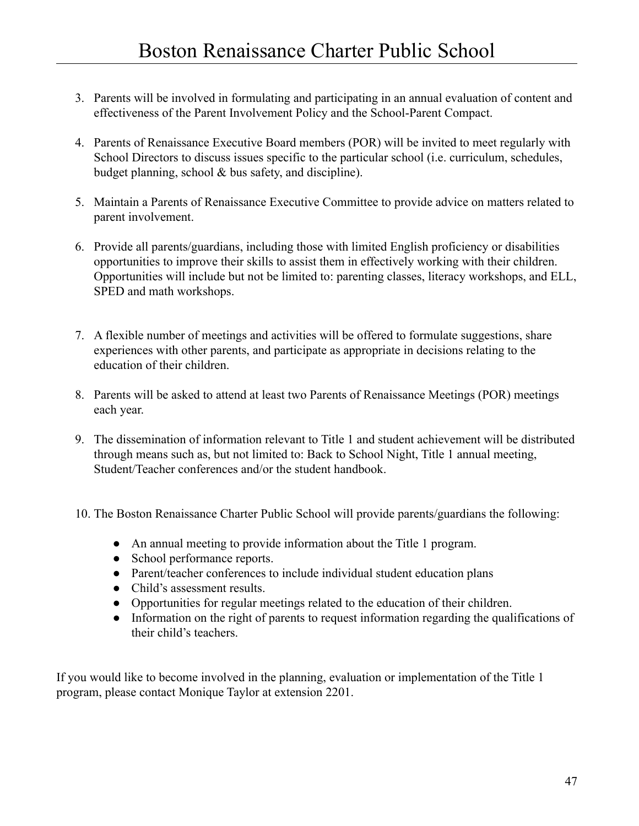- 3. Parents will be involved in formulating and participating in an annual evaluation of content and effectiveness of the Parent Involvement Policy and the School-Parent Compact.
- 4. Parents of Renaissance Executive Board members (POR) will be invited to meet regularly with School Directors to discuss issues specific to the particular school (i.e. curriculum, schedules, budget planning, school & bus safety, and discipline).
- 5. Maintain a Parents of Renaissance Executive Committee to provide advice on matters related to parent involvement.
- 6. Provide all parents/guardians, including those with limited English proficiency or disabilities opportunities to improve their skills to assist them in effectively working with their children. Opportunities will include but not be limited to: parenting classes, literacy workshops, and ELL, SPED and math workshops.
- 7. A flexible number of meetings and activities will be offered to formulate suggestions, share experiences with other parents, and participate as appropriate in decisions relating to the education of their children.
- 8. Parents will be asked to attend at least two Parents of Renaissance Meetings (POR) meetings each year.
- 9. The dissemination of information relevant to Title 1 and student achievement will be distributed through means such as, but not limited to: Back to School Night, Title 1 annual meeting, Student/Teacher conferences and/or the student handbook.
- 10. The Boston Renaissance Charter Public School will provide parents/guardians the following:
	- An annual meeting to provide information about the Title 1 program.
	- School performance reports.
	- Parent/teacher conferences to include individual student education plans
	- Child's assessment results.
	- Opportunities for regular meetings related to the education of their children.
	- Information on the right of parents to request information regarding the qualifications of their child's teachers.

If you would like to become involved in the planning, evaluation or implementation of the Title 1 program, please contact Monique Taylor at extension 2201.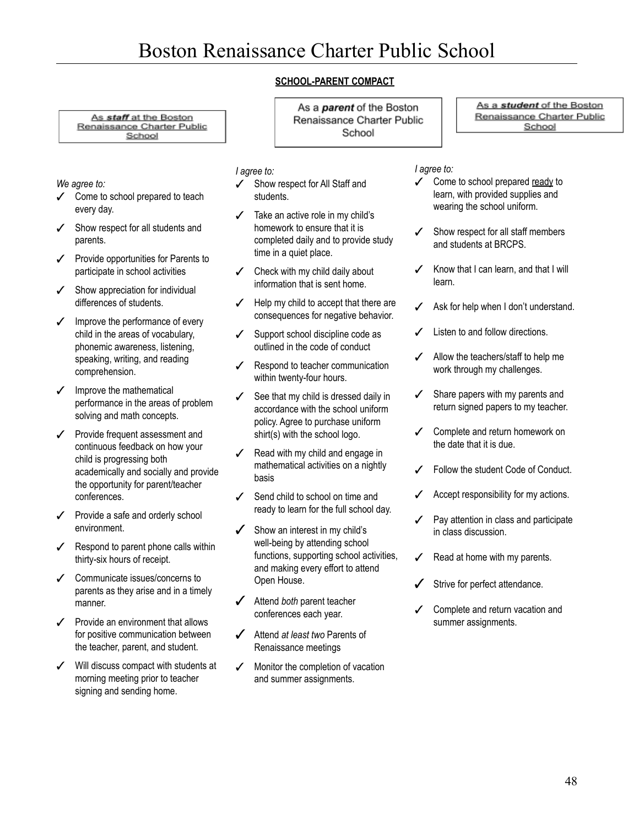# Boston Renaissance Charter Public School

#### **SCHOOL-PARENT COMPACT**

As staff at the Boston Renaissance Charter Public School

*We agree to:*

- ✓ Come to school prepared to teach every day.
- ✓ Show respect for all students and parents.
- ✓ Provide opportunities for Parents to participate in school activities
- $\checkmark$  Show appreciation for individual differences of students.
- Improve the performance of every child in the areas of vocabulary, phonemic awareness, listening, speaking, writing, and reading comprehension.
- Improve the mathematical performance in the areas of problem solving and math concepts.
- ✓ Provide frequent assessment and continuous feedback on how your child is progressing both academically and socially and provide the opportunity for parent/teacher conferences.
- ✓ Provide a safe and orderly school environment.
- Respond to parent phone calls within thirty-six hours of receipt.
- ✓ Communicate issues/concerns to parents as they arise and in a timely manner.
- ✓ Provide an environment that allows for positive communication between the teacher, parent, and student.
- Will discuss compact with students at morning meeting prior to teacher signing and sending home.

As a *parent* of the Boston Renaissance Charter Public School

As a *student* of the Boston Renaissance Charter Public School

*I agree to:*

- ✓ Show respect for All Staff and students.
- ✓ Take an active role in my child's homework to ensure that it is completed daily and to provide study time in a quiet place.
- $\checkmark$  Check with my child daily about information that is sent home.
- ✓ Help my child to accept that there are consequences for negative behavior.
- ✓ Support school discipline code as outlined in the code of conduct
- ✓ Respond to teacher communication within twenty-four hours.
- $\checkmark$  See that my child is dressed daily in accordance with the school uniform policy. Agree to purchase uniform shirt(s) with the school logo.
- ✓ Read with my child and engage in mathematical activities on a nightly basis
- ✓ Send child to school on time and ready to learn for the full school day.
- $\checkmark$  Show an interest in my child's well-being by attending school functions, supporting school activities, and making every effort to attend Open House.
- ✓ Attend *both* parent teacher conferences each year.
- ✓ Attend *at least two* Parents of Renaissance meetings
- ✓ Monitor the completion of vacation and summer assignments.

*I agree to:*

- $\checkmark$  Come to school prepared ready to learn, with provided supplies and wearing the school uniform.
- ✓ Show respect for all staff members and students at BRCPS.
- ✓ Know that I can learn, and that I will learn.
- Ask for help when I don't understand.
- Listen to and follow directions.
- Allow the teachers/staff to help me work through my challenges.
- ✓ Share papers with my parents and return signed papers to my teacher.
- Complete and return homework on the date that it is due.
- Follow the student Code of Conduct.
- Accept responsibility for my actions.
- Pay attention in class and participate in class discussion.
- Read at home with my parents.
- Strive for perfect attendance.
- Complete and return vacation and summer assignments.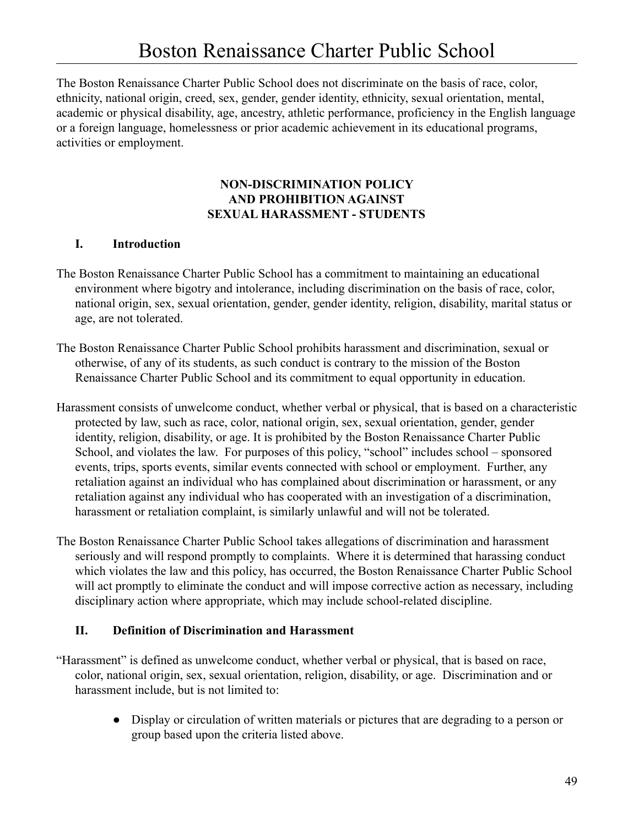The Boston Renaissance Charter Public School does not discriminate on the basis of race, color, ethnicity, national origin, creed, sex, gender, gender identity, ethnicity, sexual orientation, mental, academic or physical disability, age, ancestry, athletic performance, proficiency in the English language or a foreign language, homelessness or prior academic achievement in its educational programs, activities or employment.

#### **NON-DISCRIMINATION POLICY AND PROHIBITION AGAINST SEXUAL HARASSMENT - STUDENTS**

#### **I. Introduction**

- The Boston Renaissance Charter Public School has a commitment to maintaining an educational environment where bigotry and intolerance, including discrimination on the basis of race, color, national origin, sex, sexual orientation, gender, gender identity, religion, disability, marital status or age, are not tolerated.
- The Boston Renaissance Charter Public School prohibits harassment and discrimination, sexual or otherwise, of any of its students, as such conduct is contrary to the mission of the Boston Renaissance Charter Public School and its commitment to equal opportunity in education.
- Harassment consists of unwelcome conduct, whether verbal or physical, that is based on a characteristic protected by law, such as race, color, national origin, sex, sexual orientation, gender, gender identity, religion, disability, or age. It is prohibited by the Boston Renaissance Charter Public School, and violates the law. For purposes of this policy, "school" includes school – sponsored events, trips, sports events, similar events connected with school or employment. Further, any retaliation against an individual who has complained about discrimination or harassment, or any retaliation against any individual who has cooperated with an investigation of a discrimination, harassment or retaliation complaint, is similarly unlawful and will not be tolerated.
- The Boston Renaissance Charter Public School takes allegations of discrimination and harassment seriously and will respond promptly to complaints. Where it is determined that harassing conduct which violates the law and this policy, has occurred, the Boston Renaissance Charter Public School will act promptly to eliminate the conduct and will impose corrective action as necessary, including disciplinary action where appropriate, which may include school-related discipline.

#### **II. Definition of Discrimination and Harassment**

- "Harassment" is defined as unwelcome conduct, whether verbal or physical, that is based on race, color, national origin, sex, sexual orientation, religion, disability, or age. Discrimination and or harassment include, but is not limited to:
	- Display or circulation of written materials or pictures that are degrading to a person or group based upon the criteria listed above.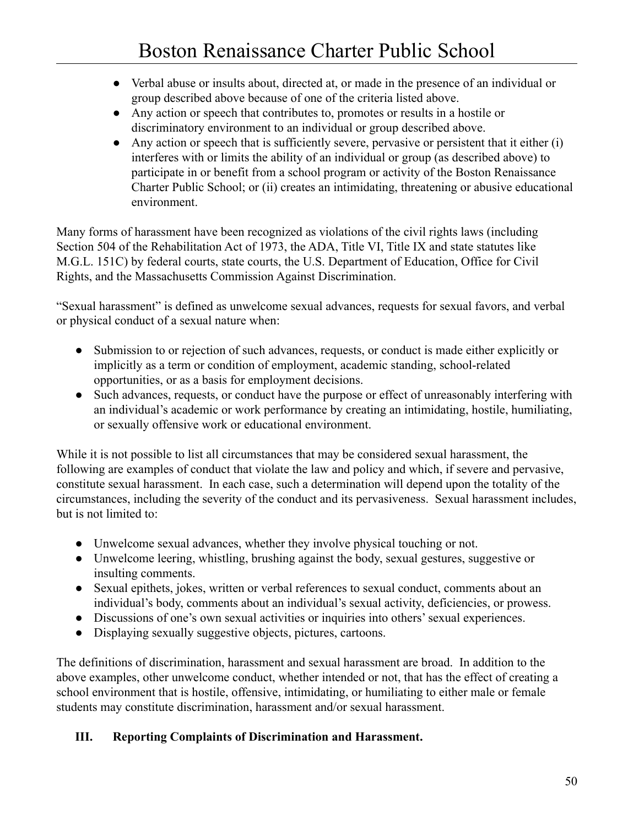- Verbal abuse or insults about, directed at, or made in the presence of an individual or group described above because of one of the criteria listed above.
- Any action or speech that contributes to, promotes or results in a hostile or discriminatory environment to an individual or group described above.
- $\bullet$  Any action or speech that is sufficiently severe, pervasive or persistent that it either (i) interferes with or limits the ability of an individual or group (as described above) to participate in or benefit from a school program or activity of the Boston Renaissance Charter Public School; or (ii) creates an intimidating, threatening or abusive educational environment.

Many forms of harassment have been recognized as violations of the civil rights laws (including Section 504 of the Rehabilitation Act of 1973, the ADA, Title VI, Title IX and state statutes like M.G.L. 151C) by federal courts, state courts, the U.S. Department of Education, Office for Civil Rights, and the Massachusetts Commission Against Discrimination.

"Sexual harassment" is defined as unwelcome sexual advances, requests for sexual favors, and verbal or physical conduct of a sexual nature when:

- Submission to or rejection of such advances, requests, or conduct is made either explicitly or implicitly as a term or condition of employment, academic standing, school-related opportunities, or as a basis for employment decisions.
- Such advances, requests, or conduct have the purpose or effect of unreasonably interfering with an individual's academic or work performance by creating an intimidating, hostile, humiliating, or sexually offensive work or educational environment.

While it is not possible to list all circumstances that may be considered sexual harassment, the following are examples of conduct that violate the law and policy and which, if severe and pervasive, constitute sexual harassment. In each case, such a determination will depend upon the totality of the circumstances, including the severity of the conduct and its pervasiveness. Sexual harassment includes, but is not limited to:

- Unwelcome sexual advances, whether they involve physical touching or not.
- Unwelcome leering, whistling, brushing against the body, sexual gestures, suggestive or insulting comments.
- Sexual epithets, jokes, written or verbal references to sexual conduct, comments about an individual's body, comments about an individual's sexual activity, deficiencies, or prowess.
- Discussions of one's own sexual activities or inquiries into others' sexual experiences.
- Displaying sexually suggestive objects, pictures, cartoons.

The definitions of discrimination, harassment and sexual harassment are broad. In addition to the above examples, other unwelcome conduct, whether intended or not, that has the effect of creating a school environment that is hostile, offensive, intimidating, or humiliating to either male or female students may constitute discrimination, harassment and/or sexual harassment.

#### **III. Reporting Complaints of Discrimination and Harassment.**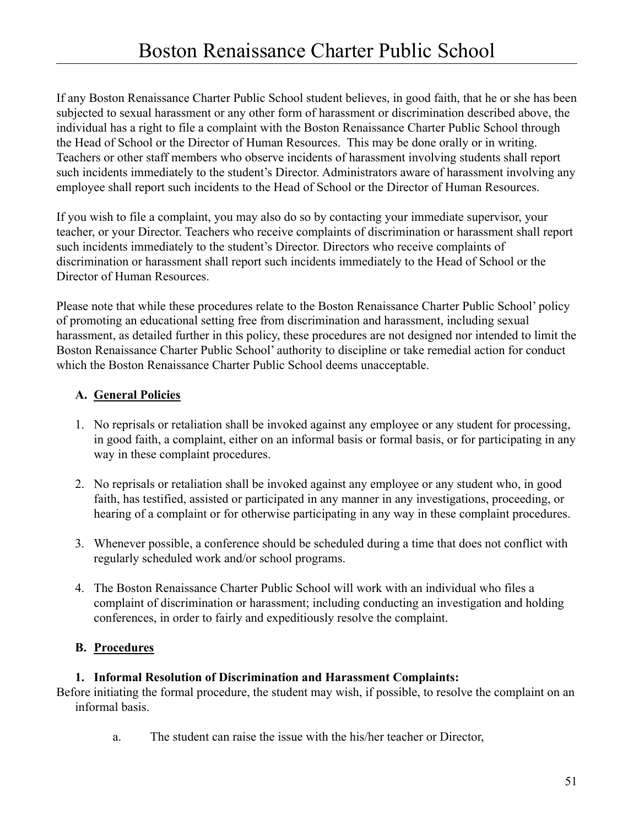If any Boston Renaissance Charter Public School student believes, in good faith, that he or she has been subjected to sexual harassment or any other form of harassment or discrimination described above, the individual has a right to file a complaint with the Boston Renaissance Charter Public School through the Head of School or the Director of Human Resources. This may be done orally or in writing. Teachers or other staff members who observe incidents of harassment involving students shall report such incidents immediately to the student's Director. Administrators aware of harassment involving any employee shall report such incidents to the Head of School or the Director of Human Resources.

If you wish to file a complaint, you may also do so by contacting your immediate supervisor, your teacher, or your Director. Teachers who receive complaints of discrimination or harassment shall report such incidents immediately to the student's Director. Directors who receive complaints of discrimination or harassment shall report such incidents immediately to the Head of School or the Director of Human Resources.

Please note that while these procedures relate to the Boston Renaissance Charter Public School' policy of promoting an educational setting free from discrimination and harassment, including sexual harassment, as detailed further in this policy, these procedures are not designed nor intended to limit the Boston Renaissance Charter Public School' authority to discipline or take remedial action for conduct which the Boston Renaissance Charter Public School deems unacceptable.

#### **A. General Policies**

- 1. No reprisals or retaliation shall be invoked against any employee or any student for processing, in good faith, a complaint, either on an informal basis or formal basis, or for participating in any way in these complaint procedures.
- 2. No reprisals or retaliation shall be invoked against any employee or any student who, in good faith, has testified, assisted or participated in any manner in any investigations, proceeding, or hearing of a complaint or for otherwise participating in any way in these complaint procedures.
- 3. Whenever possible, a conference should be scheduled during a time that does not conflict with regularly scheduled work and/or school programs.
- 4. The Boston Renaissance Charter Public School will work with an individual who files a complaint of discrimination or harassment; including conducting an investigation and holding conferences, in order to fairly and expeditiously resolve the complaint.

#### **B. Procedures**

#### **1. Informal Resolution of Discrimination and Harassment Complaints:**

Before initiating the formal procedure, the student may wish, if possible, to resolve the complaint on an informal basis.

a. The student can raise the issue with the his/her teacher or Director,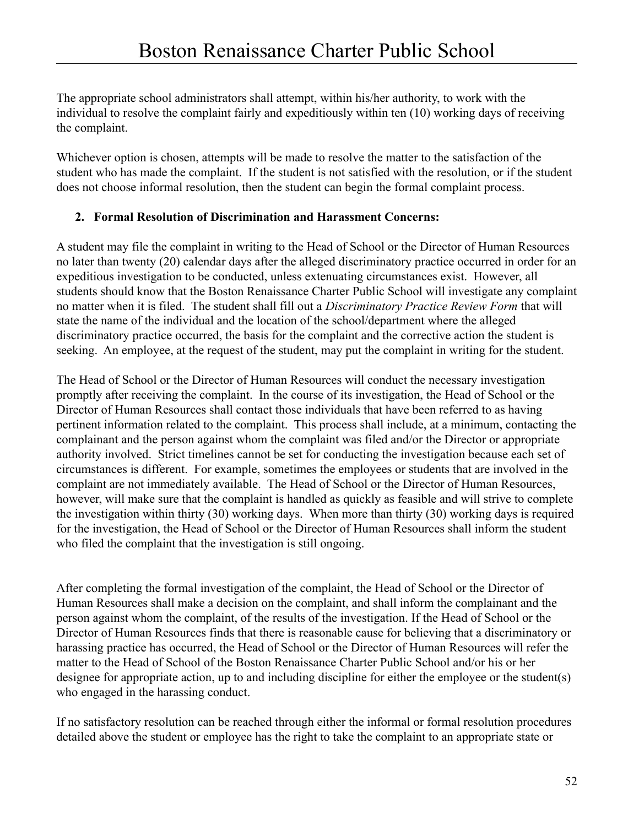The appropriate school administrators shall attempt, within his/her authority, to work with the individual to resolve the complaint fairly and expeditiously within ten (10) working days of receiving the complaint.

Whichever option is chosen, attempts will be made to resolve the matter to the satisfaction of the student who has made the complaint. If the student is not satisfied with the resolution, or if the student does not choose informal resolution, then the student can begin the formal complaint process.

#### **2. Formal Resolution of Discrimination and Harassment Concerns:**

A student may file the complaint in writing to the Head of School or the Director of Human Resources no later than twenty (20) calendar days after the alleged discriminatory practice occurred in order for an expeditious investigation to be conducted, unless extenuating circumstances exist. However, all students should know that the Boston Renaissance Charter Public School will investigate any complaint no matter when it is filed. The student shall fill out a *Discriminatory Practice Review Form* that will state the name of the individual and the location of the school/department where the alleged discriminatory practice occurred, the basis for the complaint and the corrective action the student is seeking. An employee, at the request of the student, may put the complaint in writing for the student.

The Head of School or the Director of Human Resources will conduct the necessary investigation promptly after receiving the complaint. In the course of its investigation, the Head of School or the Director of Human Resources shall contact those individuals that have been referred to as having pertinent information related to the complaint. This process shall include, at a minimum, contacting the complainant and the person against whom the complaint was filed and/or the Director or appropriate authority involved. Strict timelines cannot be set for conducting the investigation because each set of circumstances is different. For example, sometimes the employees or students that are involved in the complaint are not immediately available. The Head of School or the Director of Human Resources, however, will make sure that the complaint is handled as quickly as feasible and will strive to complete the investigation within thirty (30) working days. When more than thirty (30) working days is required for the investigation, the Head of School or the Director of Human Resources shall inform the student who filed the complaint that the investigation is still ongoing.

After completing the formal investigation of the complaint, the Head of School or the Director of Human Resources shall make a decision on the complaint, and shall inform the complainant and the person against whom the complaint, of the results of the investigation. If the Head of School or the Director of Human Resources finds that there is reasonable cause for believing that a discriminatory or harassing practice has occurred, the Head of School or the Director of Human Resources will refer the matter to the Head of School of the Boston Renaissance Charter Public School and/or his or her designee for appropriate action, up to and including discipline for either the employee or the student(s) who engaged in the harassing conduct.

If no satisfactory resolution can be reached through either the informal or formal resolution procedures detailed above the student or employee has the right to take the complaint to an appropriate state or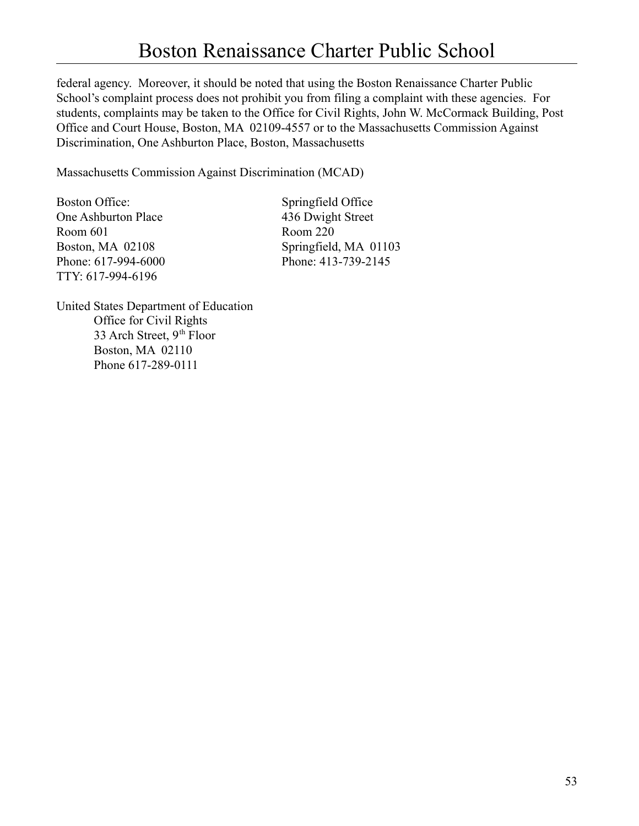# Boston Renaissance Charter Public School

federal agency. Moreover, it should be noted that using the Boston Renaissance Charter Public School's complaint process does not prohibit you from filing a complaint with these agencies. For students, complaints may be taken to the Office for Civil Rights, John W. McCormack Building, Post Office and Court House, Boston, MA 02109-4557 or to the Massachusetts Commission Against Discrimination, One Ashburton Place, Boston, Massachusetts

Massachusetts Commission Against Discrimination (MCAD)

Boston Office: Springfield Office One Ashburton Place 436 Dwight Street Room 601 Room 220 TTY: 617-994-6196

Boston, MA 02108 Springfield, MA 01103 Phone: 617-994-6000 Phone: 413-739-2145

United States Department of Education Office for Civil Rights 33 Arch Street,  $9<sup>th</sup>$  Floor Boston, MA 02110 Phone 617-289-0111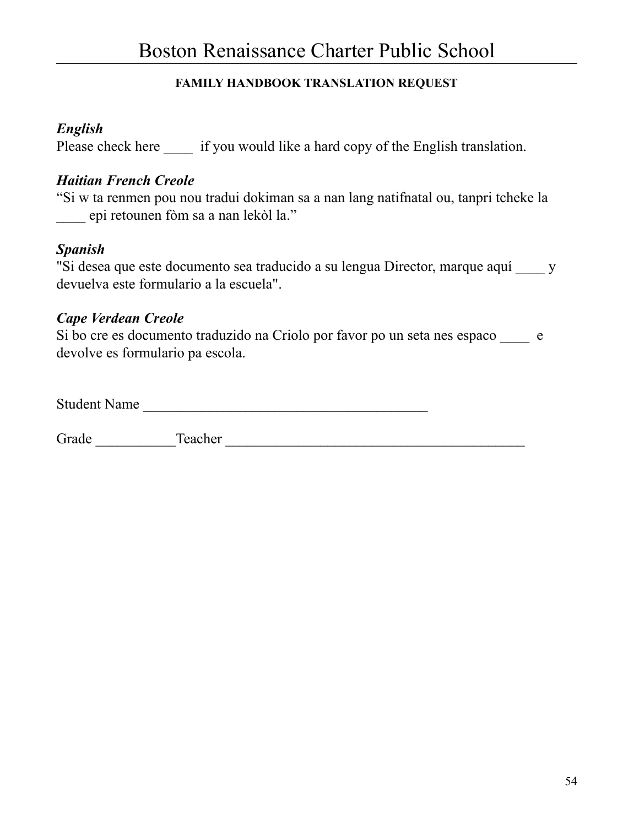#### **FAMILY HANDBOOK TRANSLATION REQUEST**

#### *English*

Please check here if you would like a hard copy of the English translation.

#### *Haitian French Creole*

"Si w ta renmen pou nou tradui dokiman sa a nan lang natifnatal ou, tanpri tcheke la \_\_\_\_ epi retounen fòm sa a nan lekòl la."

#### *Spanish*

"Si desea que este documento sea traducido a su lengua Director, marque aquí \_\_\_\_ y devuelva este formulario a la escuela".

#### *Cape Verdean Creole*

Si bo cre es documento traduzido na Criolo por favor po un seta nes espaco e devolve es formulario pa escola.

| <b>Student Name</b> |
|---------------------|
|                     |

Grade \_\_\_\_\_\_\_\_\_\_\_Teacher \_\_\_\_\_\_\_\_\_\_\_\_\_\_\_\_\_\_\_\_\_\_\_\_\_\_\_\_\_\_\_\_\_\_\_\_\_\_\_\_\_